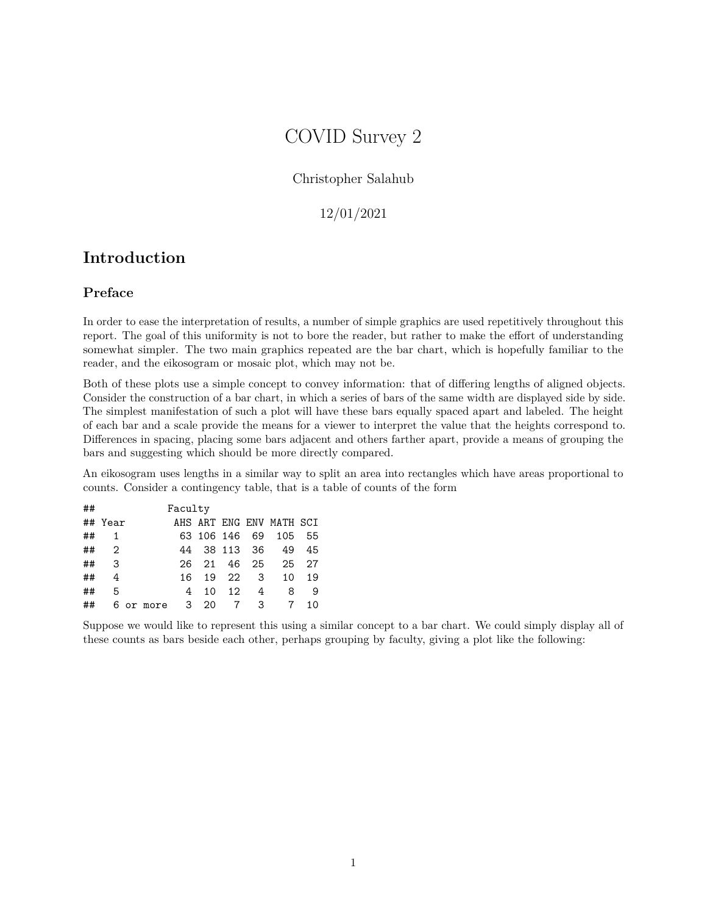# COVID Survey 2

### Christopher Salahub

### 12/01/2021

# **Introduction**

# **Preface**

In order to ease the interpretation of results, a number of simple graphics are used repetitively throughout this report. The goal of this uniformity is not to bore the reader, but rather to make the effort of understanding somewhat simpler. The two main graphics repeated are the bar chart, which is hopefully familiar to the reader, and the eikosogram or mosaic plot, which may not be.

Both of these plots use a simple concept to convey information: that of differing lengths of aligned objects. Consider the construction of a bar chart, in which a series of bars of the same width are displayed side by side. The simplest manifestation of such a plot will have these bars equally spaced apart and labeled. The height of each bar and a scale provide the means for a viewer to interpret the value that the heights correspond to. Differences in spacing, placing some bars adjacent and others farther apart, provide a means of grouping the bars and suggesting which should be more directly compared.

An eikosogram uses lengths in a similar way to split an area into rectangles which have areas proportional to counts. Consider a contingency table, that is a table of counts of the form

| ## |                |           | Faculty |    |         |     |                          |     |
|----|----------------|-----------|---------|----|---------|-----|--------------------------|-----|
|    | ## Year        |           |         |    |         |     | AHS ART ENG ENV MATH SCI |     |
| ## | 1              |           |         |    |         |     | 63 106 146 69 105 55     |     |
| ## | $\overline{2}$ |           | 44      |    |         |     | 38 113 36 49             | 45  |
| ## | 3              |           | 26.     |    |         |     | 21 46 25 25              | 27  |
| ## | 4              |           | 16      |    | 19 22 3 |     | 10                       | 19  |
| ## | -5             |           | 4       | 10 | 12      | 4   | 8                        | - 9 |
| ## |                | 6 or more | 3 20    |    |         | 7 3 |                          | 10  |

Suppose we would like to represent this using a similar concept to a bar chart. We could simply display all of these counts as bars beside each other, perhaps grouping by faculty, giving a plot like the following: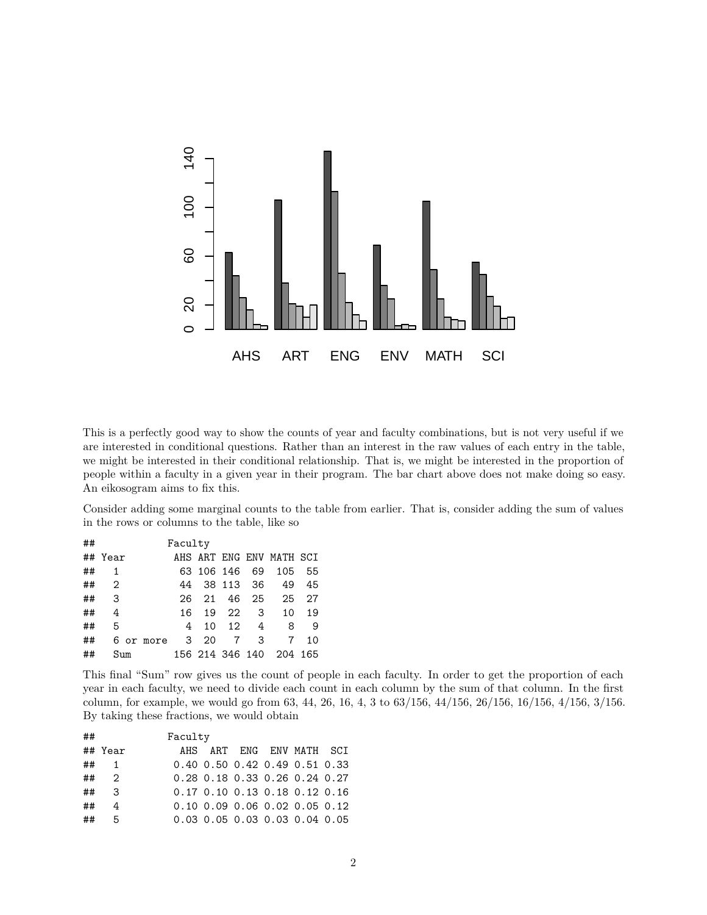

This is a perfectly good way to show the counts of year and faculty combinations, but is not very useful if we are interested in conditional questions. Rather than an interest in the raw values of each entry in the table, we might be interested in their conditional relationship. That is, we might be interested in the proportion of people within a faculty in a given year in their program. The bar chart above does not make doing so easy. An eikosogram aims to fix this.

Consider adding some marginal counts to the table from earlier. That is, consider adding the sum of values in the rows or columns to the table, like so

| ## |                |           | Faculty        |               |                 |   |                          |     |
|----|----------------|-----------|----------------|---------------|-----------------|---|--------------------------|-----|
|    | ## Year        |           |                |               |                 |   | AHS ART ENG ENV MATH SCI |     |
| ## | 1              |           |                | 63 106 146 69 |                 |   | 105                      | 55  |
| ## | $\overline{2}$ |           | 44             |               | 38 113 36       |   | 49                       | 45  |
| ## | - 3            |           | 26.            |               | 21 46 25        |   | 25                       | 27  |
| ## | 4              |           | 16             |               | 19 22 3         |   | 10                       | 19  |
| ## | .5             |           | 4              | 10            | 12              | 4 | 8                        | - 9 |
| ## |                | 6 or more | 3 <sup>3</sup> | 20            | $7\overline{ }$ | 3 | 7                        | 10  |
| ## | Sum            |           |                |               |                 |   | 156 214 346 140 204 165  |     |

This final "Sum" row gives us the count of people in each faculty. In order to get the proportion of each year in each faculty, we need to divide each count in each column by the sum of that column. In the first column, for example, we would go from 63, 44, 26, 16, 4, 3 to 63/156, 44/156, 26/156, 16/156, 4/156, 3/156. By taking these fractions, we would obtain

| ## |                         | Faculty |                               |  |  |
|----|-------------------------|---------|-------------------------------|--|--|
|    | ## Year                 |         | AHS ART ENG ENV MATH SCI      |  |  |
|    | $\#$ # 1                |         | 0.40 0.50 0.42 0.49 0.51 0.33 |  |  |
| ## | $\overline{2}$          |         | 0.28 0.18 0.33 0.26 0.24 0.27 |  |  |
| ## | $\overline{\mathbf{3}}$ |         | 0.17 0.10 0.13 0.18 0.12 0.16 |  |  |
| ## | $\overline{a}$          |         | 0.10 0.09 0.06 0.02 0.05 0.12 |  |  |
| ## | 5 <sup>5</sup>          |         | 0.03 0.05 0.03 0.03 0.04 0.05 |  |  |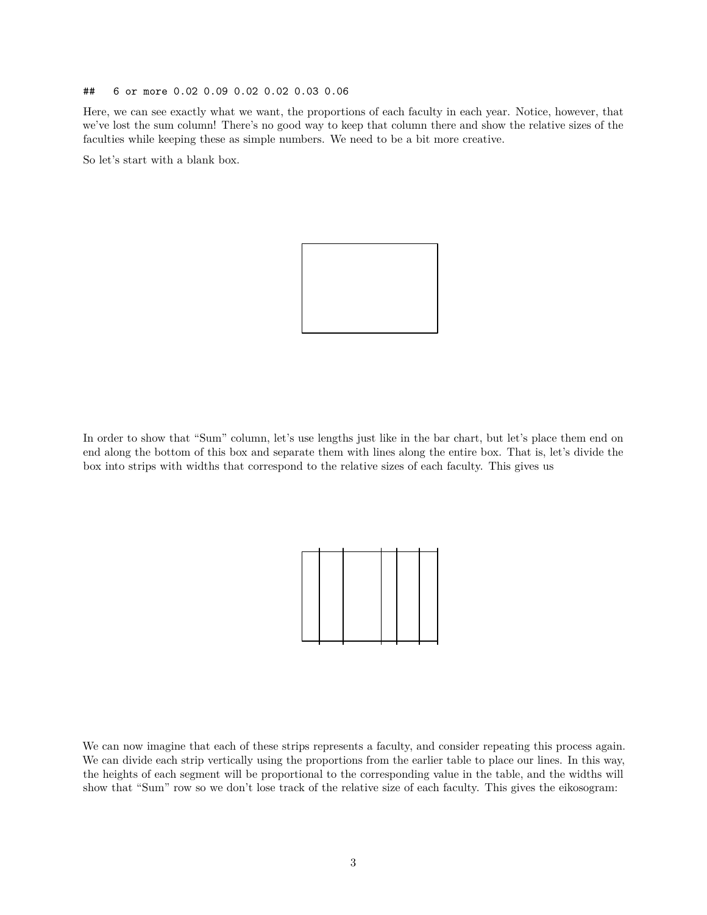#### ## 6 or more 0.02 0.09 0.02 0.02 0.03 0.06

Here, we can see exactly what we want, the proportions of each faculty in each year. Notice, however, that we've lost the sum column! There's no good way to keep that column there and show the relative sizes of the faculties while keeping these as simple numbers. We need to be a bit more creative.

So let's start with a blank box.



In order to show that "Sum" column, let's use lengths just like in the bar chart, but let's place them end on end along the bottom of this box and separate them with lines along the entire box. That is, let's divide the box into strips with widths that correspond to the relative sizes of each faculty. This gives us



We can now imagine that each of these strips represents a faculty, and consider repeating this process again. We can divide each strip vertically using the proportions from the earlier table to place our lines. In this way, the heights of each segment will be proportional to the corresponding value in the table, and the widths will show that "Sum" row so we don't lose track of the relative size of each faculty. This gives the eikosogram: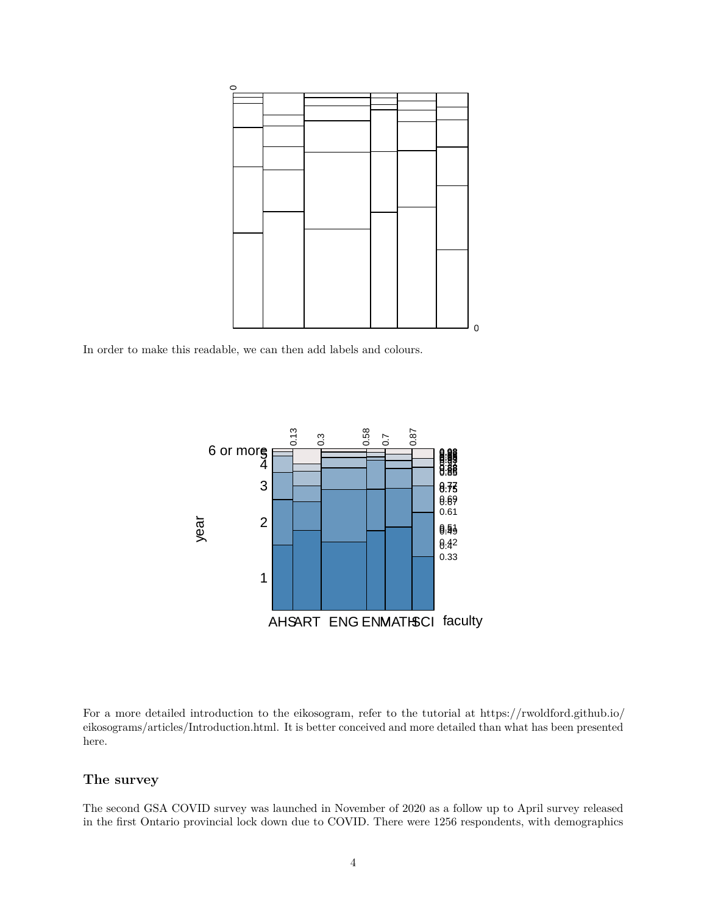

In order to make this readable, we can then add labels and colours.



For a more detailed introduction to the eikosogram, refer to the tutorial at [https://rwoldford.github.io/](https://rwoldford.github.io/eikosograms/articles/Introduction.html) [eikosograms/articles/Introduction.html.](https://rwoldford.github.io/eikosograms/articles/Introduction.html) It is better conceived and more detailed than what has been presented here.

### **The survey**

The second GSA COVID survey was launched in November of 2020 as a follow up to April survey released in the first Ontario provincial lock down due to COVID. There were 1256 respondents, with demographics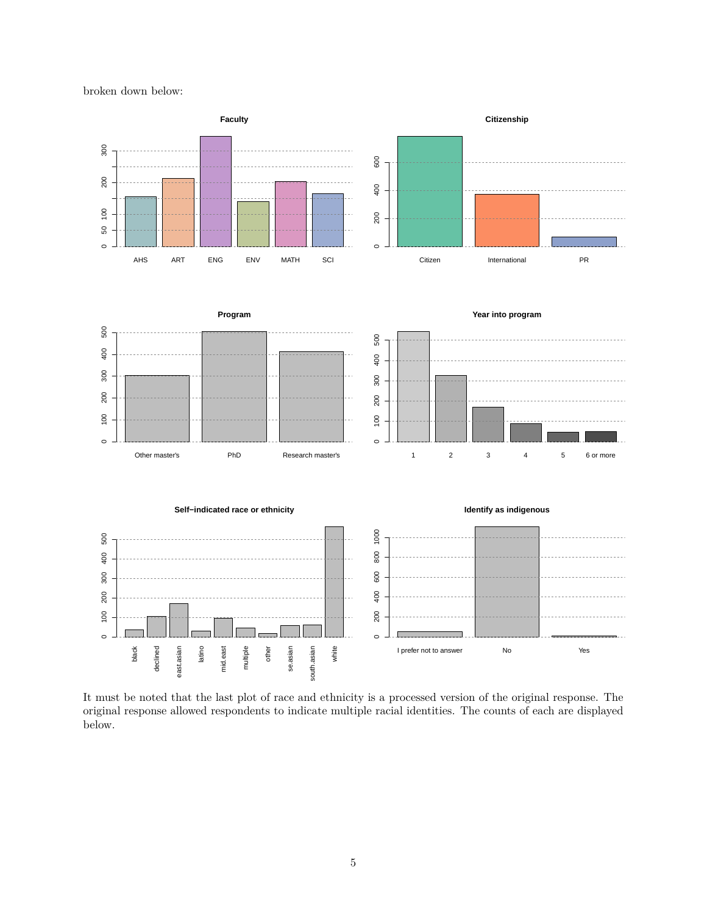broken down below:



It must be noted that the last plot of race and ethnicity is a processed version of the original response. The original response allowed respondents to indicate multiple racial identities. The counts of each are displayed below.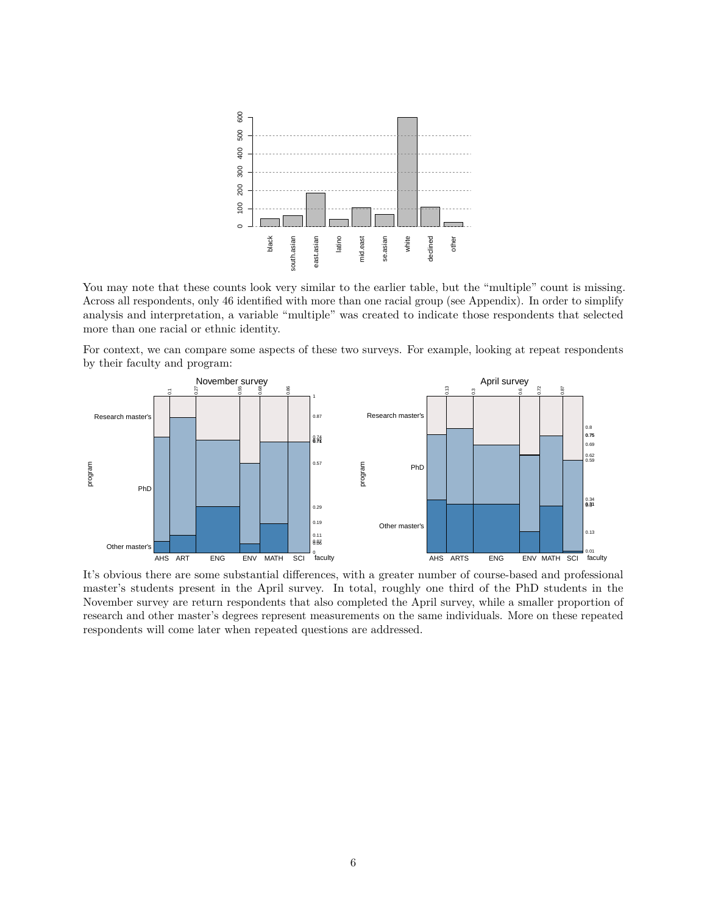

You may note that these counts look very similar to the earlier table, but the "multiple" count is missing. Across all respondents, only 46 identified with more than one racial group (see Appendix). In order to simplify analysis and interpretation, a variable "multiple" was created to indicate those respondents that selected more than one racial or ethnic identity.

For context, we can compare some aspects of these two surveys. For example, looking at repeat respondents by their faculty and program:



It's obvious there are some substantial differences, with a greater number of course-based and professional master's students present in the April survey. In total, roughly one third of the PhD students in the November survey are return respondents that also completed the April survey, while a smaller proportion of research and other master's degrees represent measurements on the same individuals. More on these repeated respondents will come later when repeated questions are addressed.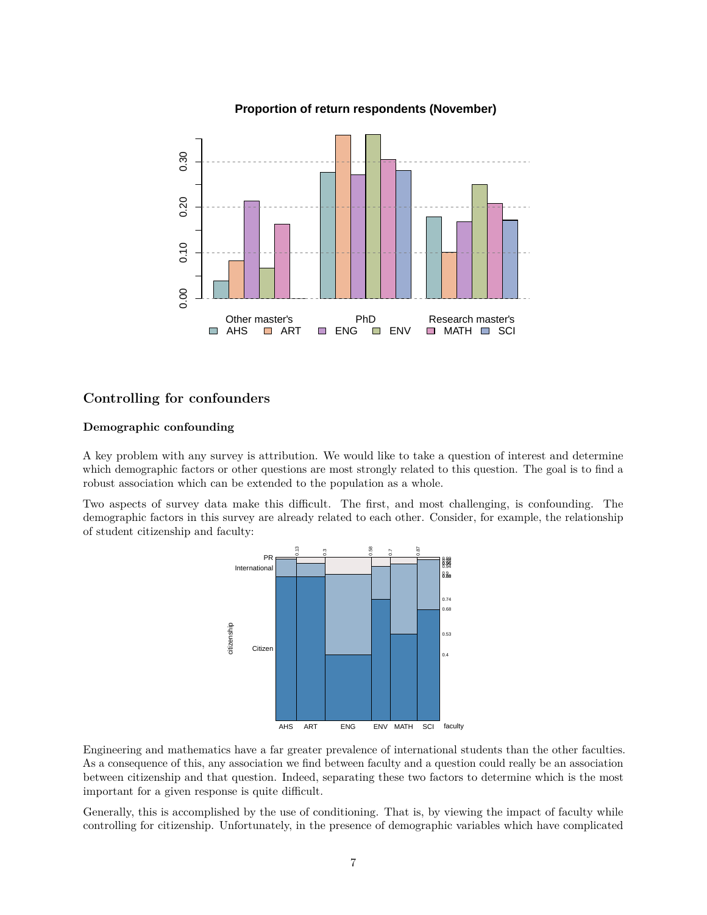

#### **Proportion of return respondents (November)**

## **Controlling for confounders**

#### **Demographic confounding**

A key problem with any survey is attribution. We would like to take a question of interest and determine which demographic factors or other questions are most strongly related to this question. The goal is to find a robust association which can be extended to the population as a whole.

Two aspects of survey data make this difficult. The first, and most challenging, is confounding. The demographic factors in this survey are already related to each other. Consider, for example, the relationship of student citizenship and faculty:



Engineering and mathematics have a far greater prevalence of international students than the other faculties. As a consequence of this, any association we find between faculty and a question could really be an association between citizenship and that question. Indeed, separating these two factors to determine which is the most important for a given response is quite difficult.

Generally, this is accomplished by the use of conditioning. That is, by viewing the impact of faculty while controlling for citizenship. Unfortunately, in the presence of demographic variables which have complicated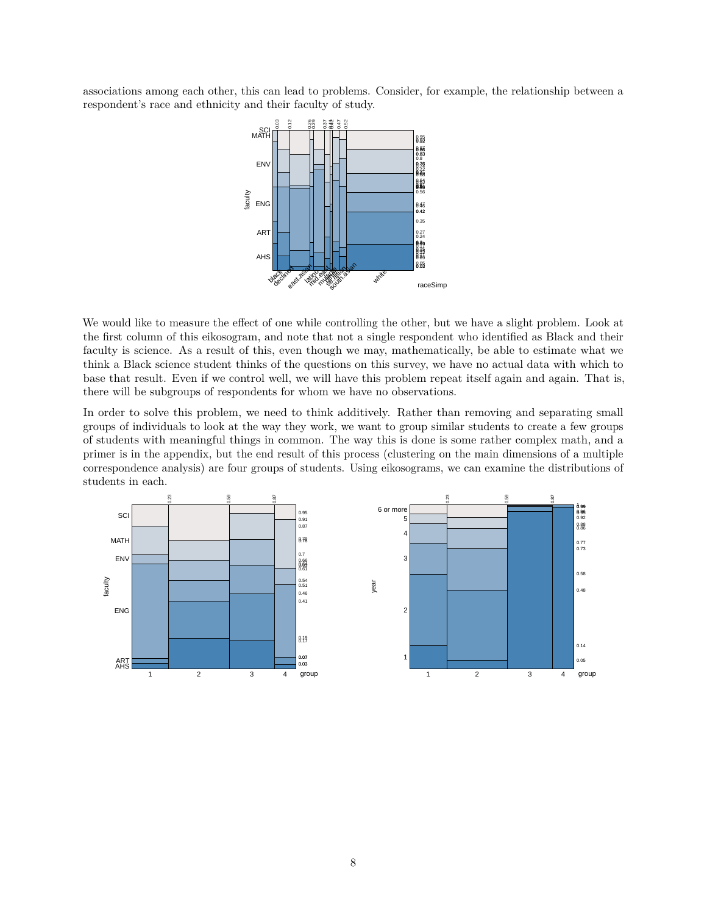associations among each other, this can lead to problems. Consider, for example, the relationship between a respondent's race and ethnicity and their faculty of study.



We would like to measure the effect of one while controlling the other, but we have a slight problem. Look at the first column of this eikosogram, and note that not a single respondent who identified as Black and their faculty is science. As a result of this, even though we may, mathematically, be able to estimate what we think a Black science student thinks of the questions on this survey, we have no actual data with which to base that result. Even if we control well, we will have this problem repeat itself again and again. That is, there will be subgroups of respondents for whom we have no observations.

In order to solve this problem, we need to think additively. Rather than removing and separating small groups of individuals to look at the way they work, we want to group similar students to create a few groups of students with meaningful things in common. The way this is done is some rather complex math, and a primer is in the appendix, but the end result of this process (clustering on the main dimensions of a multiple correspondence analysis) are four groups of students. Using eikosograms, we can examine the distributions of students in each.

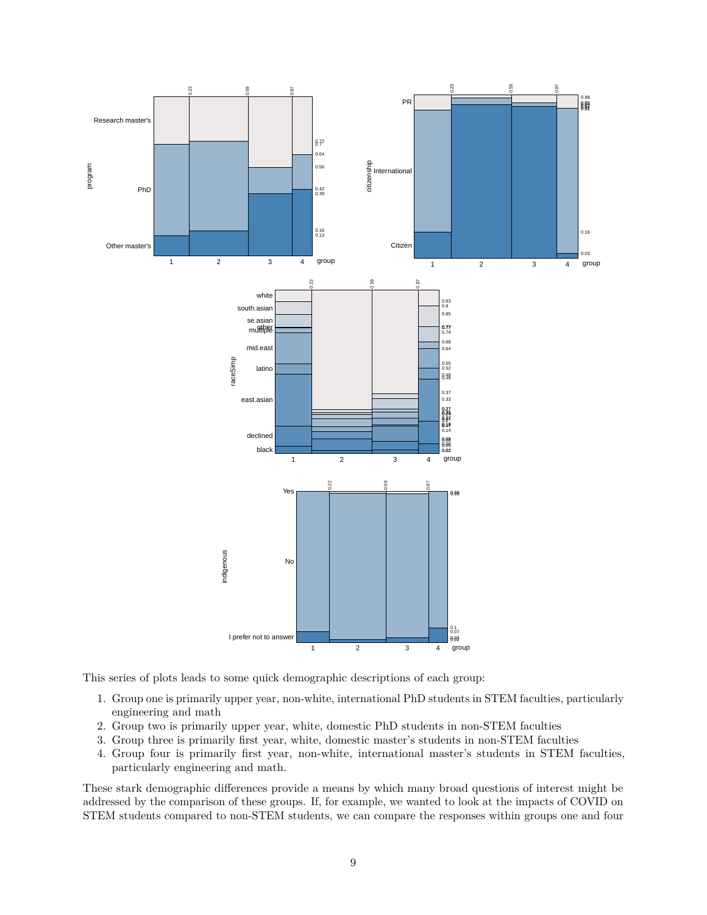

This series of plots leads to some quick demographic descriptions of each group:

- 1. Group one is primarily upper year, non-white, international PhD students in STEM faculties, particularly engineering and math
- 2. Group two is primarily upper year, white, domestic PhD students in non-STEM faculties
- 3. Group three is primarily first year, white, domestic master's students in non-STEM faculties
- 4. Group four is primarily first year, non-white, international master's students in STEM faculties, particularly engineering and math.

These stark demographic differences provide a means by which many broad questions of interest might be addressed by the comparison of these groups. If, for example, we wanted to look at the impacts of COVID on STEM students compared to non-STEM students, we can compare the responses within groups one and four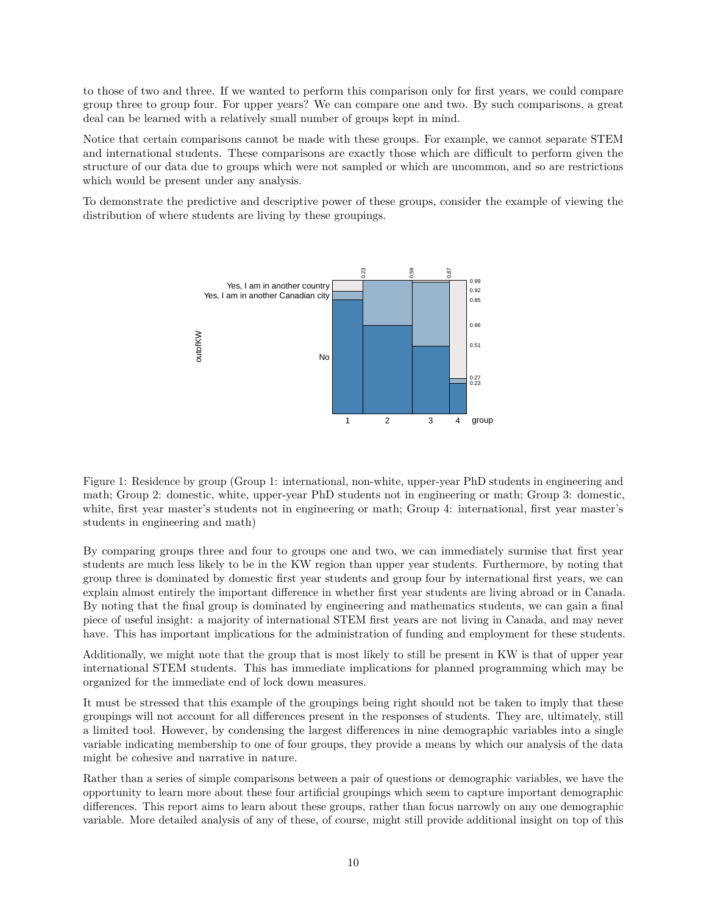to those of two and three. If we wanted to perform this comparison only for first years, we could compare group three to group four. For upper years? We can compare one and two. By such comparisons, a great deal can be learned with a relatively small number of groups kept in mind.

Notice that certain comparisons cannot be made with these groups. For example, we cannot separate STEM and international students. These comparisons are exactly those which are difficult to perform given the structure of our data due to groups which were not sampled or which are uncommon, and so are restrictions which would be present under any analysis.

To demonstrate the predictive and descriptive power of these groups, consider the example of viewing the distribution of where students are living by these groupings.



Figure 1: Residence by group (Group 1: international, non-white, upper-year PhD students in engineering and math; Group 2: domestic, white, upper-year PhD students not in engineering or math; Group 3: domestic, white, first year master's students not in engineering or math; Group 4: international, first year master's students in engineering and math)

By comparing groups three and four to groups one and two, we can immediately surmise that first year students are much less likely to be in the KW region than upper year students. Furthermore, by noting that group three is dominated by domestic first year students and group four by international first years, we can explain almost entirely the important difference in whether first year students are living abroad or in Canada. By noting that the final group is dominated by engineering and mathematics students, we can gain a final piece of useful insight: a majority of international STEM first years are not living in Canada, and may never have. This has important implications for the administration of funding and employment for these students.

Additionally, we might note that the group that is most likely to still be present in KW is that of upper year international STEM students. This has immediate implications for planned programming which may be organized for the immediate end of lock down measures.

It must be stressed that this example of the groupings being right should not be taken to imply that these groupings will not account for all differences present in the responses of students. They are, ultimately, still a limited tool. However, by condensing the largest differences in nine demographic variables into a single variable indicating membership to one of four groups, they provide a means by which our analysis of the data might be cohesive and narrative in nature.

Rather than a series of simple comparisons between a pair of questions or demographic variables, we have the opportunity to learn more about these four artificial groupings which seem to capture important demographic differences. This report aims to learn about these groups, rather than focus narrowly on any one demographic variable. More detailed analysis of any of these, of course, might still provide additional insight on top of this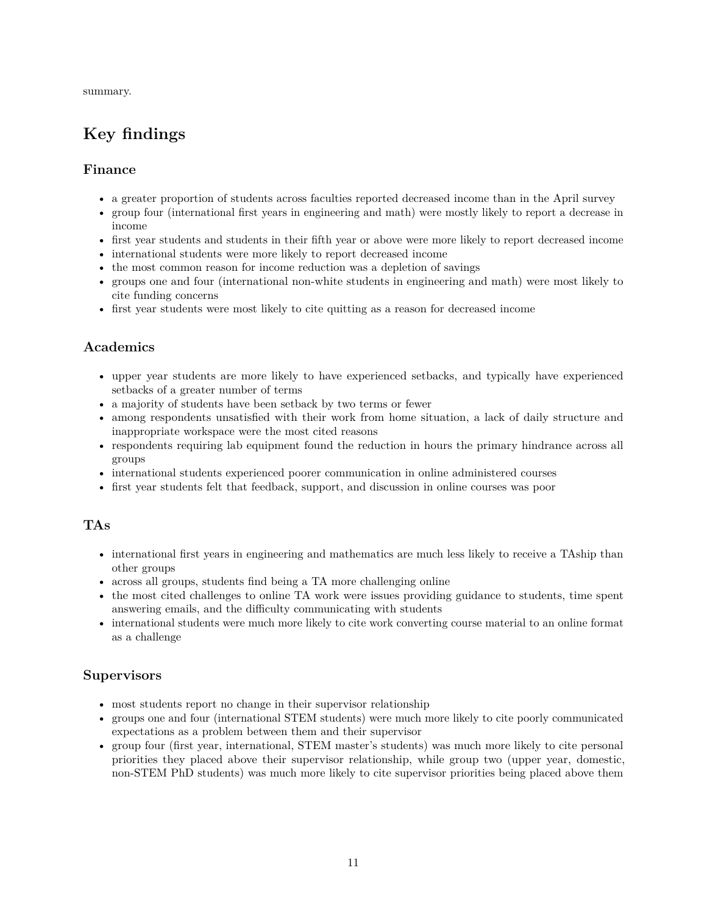summary.

# **Key findings**

## **Finance**

- a greater proportion of students across faculties reported decreased income than in the April survey
- group four (international first years in engineering and math) were mostly likely to report a decrease in income
- first year students and students in their fifth year or above were more likely to report decreased income
- international students were more likely to report decreased income
- the most common reason for income reduction was a depletion of savings
- groups one and four (international non-white students in engineering and math) were most likely to cite funding concerns
- first year students were most likely to cite quitting as a reason for decreased income

# **Academics**

- upper year students are more likely to have experienced setbacks, and typically have experienced setbacks of a greater number of terms
- a majority of students have been setback by two terms or fewer
- among respondents unsatisfied with their work from home situation, a lack of daily structure and inappropriate workspace were the most cited reasons
- respondents requiring lab equipment found the reduction in hours the primary hindrance across all groups
- international students experienced poorer communication in online administered courses
- first year students felt that feedback, support, and discussion in online courses was poor

## **TAs**

- international first years in engineering and mathematics are much less likely to receive a TAship than other groups
- across all groups, students find being a TA more challenging online
- the most cited challenges to online TA work were issues providing guidance to students, time spent answering emails, and the difficulty communicating with students
- international students were much more likely to cite work converting course material to an online format as a challenge

## **Supervisors**

- most students report no change in their supervisor relationship
- groups one and four (international STEM students) were much more likely to cite poorly communicated expectations as a problem between them and their supervisor
- group four (first year, international, STEM master's students) was much more likely to cite personal priorities they placed above their supervisor relationship, while group two (upper year, domestic, non-STEM PhD students) was much more likely to cite supervisor priorities being placed above them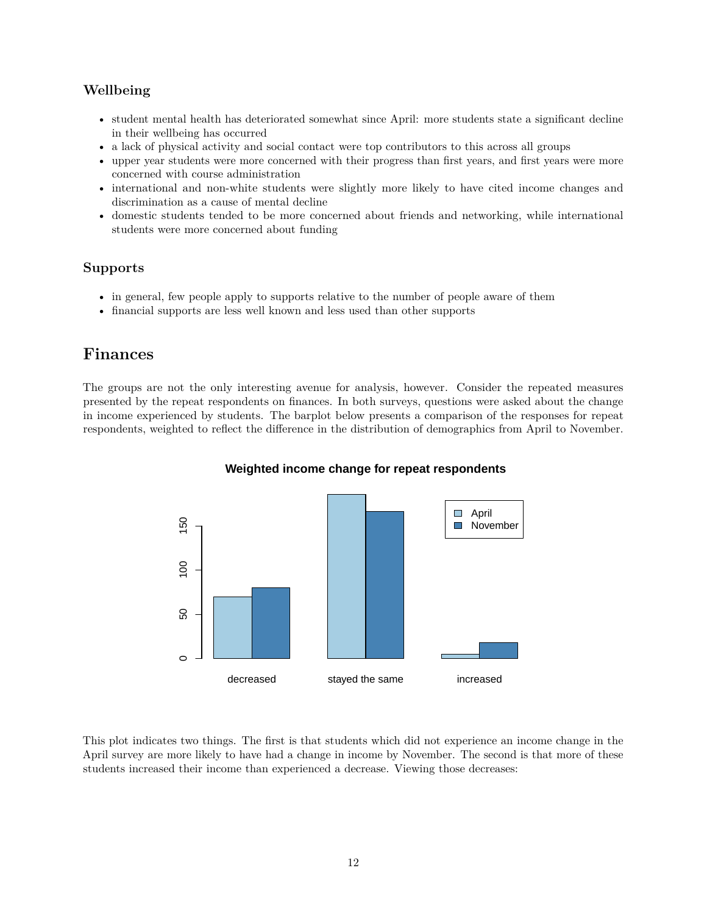# **Wellbeing**

- student mental health has deteriorated somewhat since April: more students state a significant decline in their wellbeing has occurred
- a lack of physical activity and social contact were top contributors to this across all groups
- upper year students were more concerned with their progress than first years, and first years were more concerned with course administration
- international and non-white students were slightly more likely to have cited income changes and discrimination as a cause of mental decline
- domestic students tended to be more concerned about friends and networking, while international students were more concerned about funding

## **Supports**

- in general, few people apply to supports relative to the number of people aware of them
- financial supports are less well known and less used than other supports

# **Finances**

The groups are not the only interesting avenue for analysis, however. Consider the repeated measures presented by the repeat respondents on finances. In both surveys, questions were asked about the change in income experienced by students. The barplot below presents a comparison of the responses for repeat respondents, weighted to reflect the difference in the distribution of demographics from April to November.



#### **Weighted income change for repeat respondents**

This plot indicates two things. The first is that students which did not experience an income change in the April survey are more likely to have had a change in income by November. The second is that more of these students increased their income than experienced a decrease. Viewing those decreases: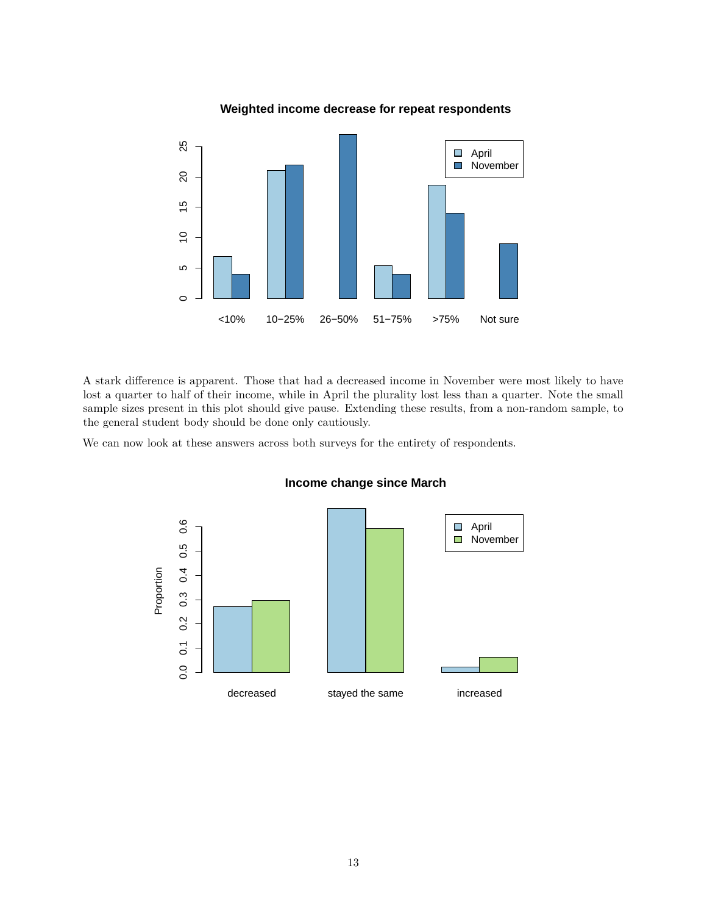

### **Weighted income decrease for repeat respondents**

A stark difference is apparent. Those that had a decreased income in November were most likely to have lost a quarter to half of their income, while in April the plurality lost less than a quarter. Note the small sample sizes present in this plot should give pause. Extending these results, from a non-random sample, to the general student body should be done only cautiously.

We can now look at these answers across both surveys for the entirety of respondents.



#### **Income change since March**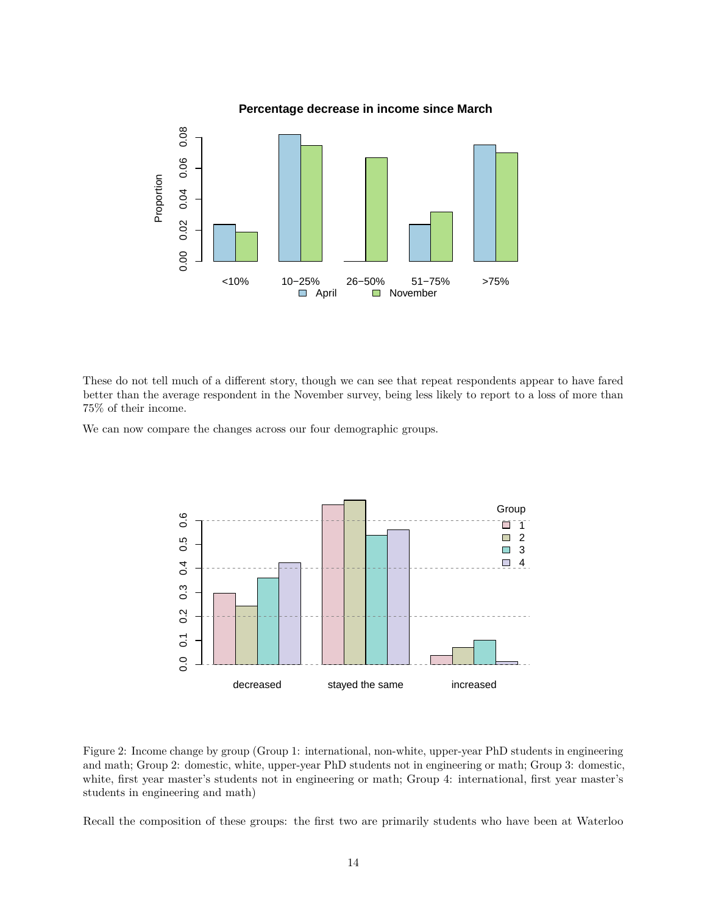

These do not tell much of a different story, though we can see that repeat respondents appear to have fared better than the average respondent in the November survey, being less likely to report to a loss of more than 75% of their income.

We can now compare the changes across our four demographic groups.



Figure 2: Income change by group (Group 1: international, non-white, upper-year PhD students in engineering and math; Group 2: domestic, white, upper-year PhD students not in engineering or math; Group 3: domestic, white, first year master's students not in engineering or math; Group 4: international, first year master's students in engineering and math)

Recall the composition of these groups: the first two are primarily students who have been at Waterloo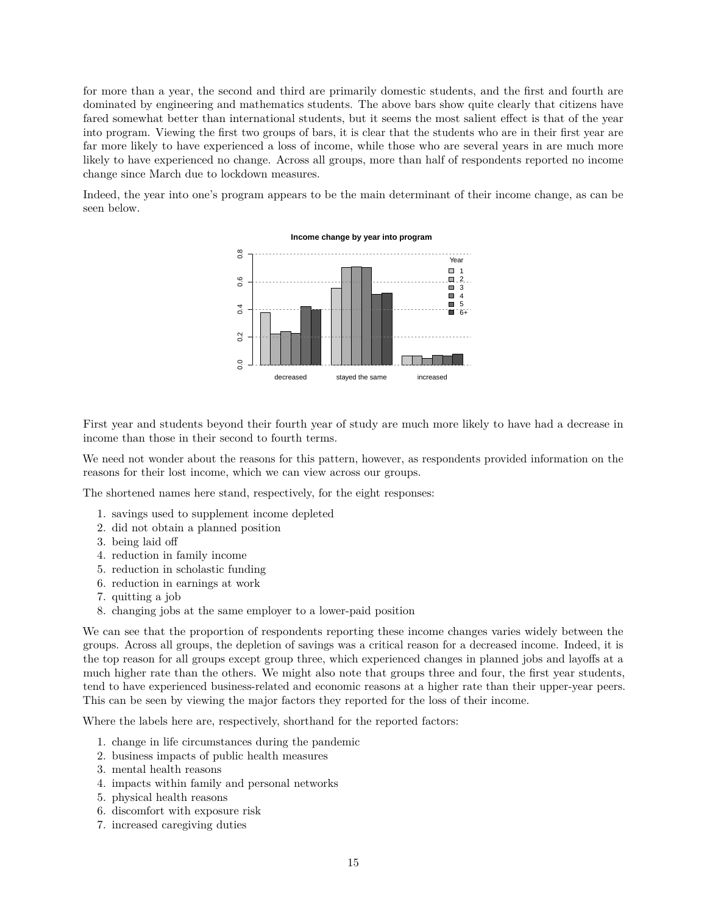for more than a year, the second and third are primarily domestic students, and the first and fourth are dominated by engineering and mathematics students. The above bars show quite clearly that citizens have fared somewhat better than international students, but it seems the most salient effect is that of the year into program. Viewing the first two groups of bars, it is clear that the students who are in their first year are far more likely to have experienced a loss of income, while those who are several years in are much more likely to have experienced no change. Across all groups, more than half of respondents reported no income change since March due to lockdown measures.

Indeed, the year into one's program appears to be the main determinant of their income change, as can be seen below.



First year and students beyond their fourth year of study are much more likely to have had a decrease in income than those in their second to fourth terms.

We need not wonder about the reasons for this pattern, however, as respondents provided information on the reasons for their lost income, which we can view across our groups.

The shortened names here stand, respectively, for the eight responses:

- 1. savings used to supplement income depleted
- 2. did not obtain a planned position
- 3. being laid off
- 4. reduction in family income
- 5. reduction in scholastic funding
- 6. reduction in earnings at work
- 7. quitting a job
- 8. changing jobs at the same employer to a lower-paid position

We can see that the proportion of respondents reporting these income changes varies widely between the groups. Across all groups, the depletion of savings was a critical reason for a decreased income. Indeed, it is the top reason for all groups except group three, which experienced changes in planned jobs and layoffs at a much higher rate than the others. We might also note that groups three and four, the first year students, tend to have experienced business-related and economic reasons at a higher rate than their upper-year peers. This can be seen by viewing the major factors they reported for the loss of their income.

Where the labels here are, respectively, shorthand for the reported factors:

- 1. change in life circumstances during the pandemic
- 2. business impacts of public health measures
- 3. mental health reasons
- 4. impacts within family and personal networks
- 5. physical health reasons
- 6. discomfort with exposure risk
- 7. increased caregiving duties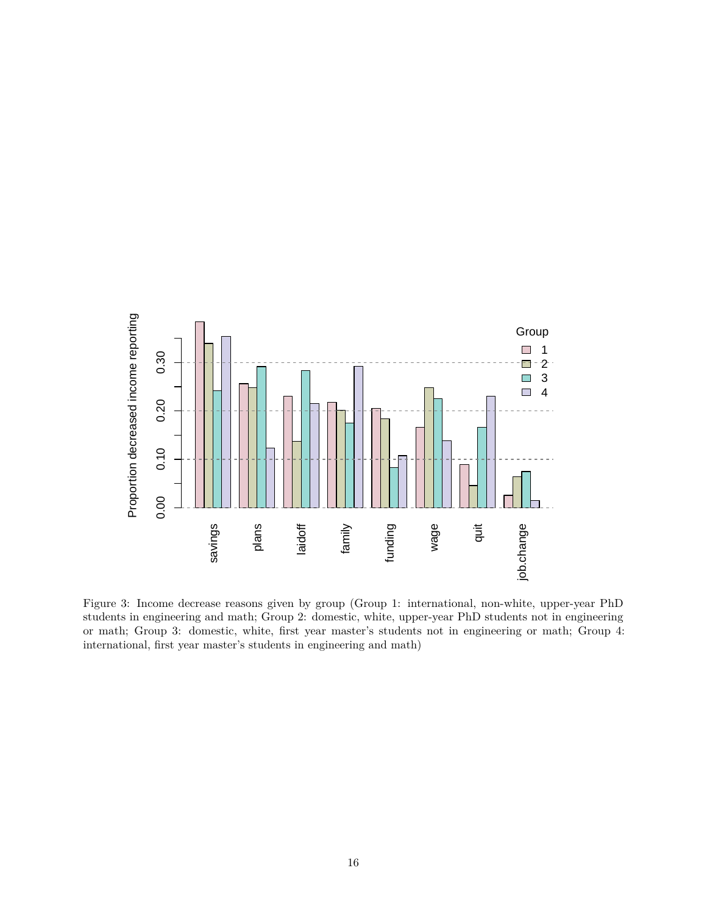

Figure 3: Income decrease reasons given by group (Group 1: international, non-white, upper-year PhD students in engineering and math; Group 2: domestic, white, upper-year PhD students not in engineering or math; Group 3: domestic, white, first year master's students not in engineering or math; Group 4: international, first year master's students in engineering and math)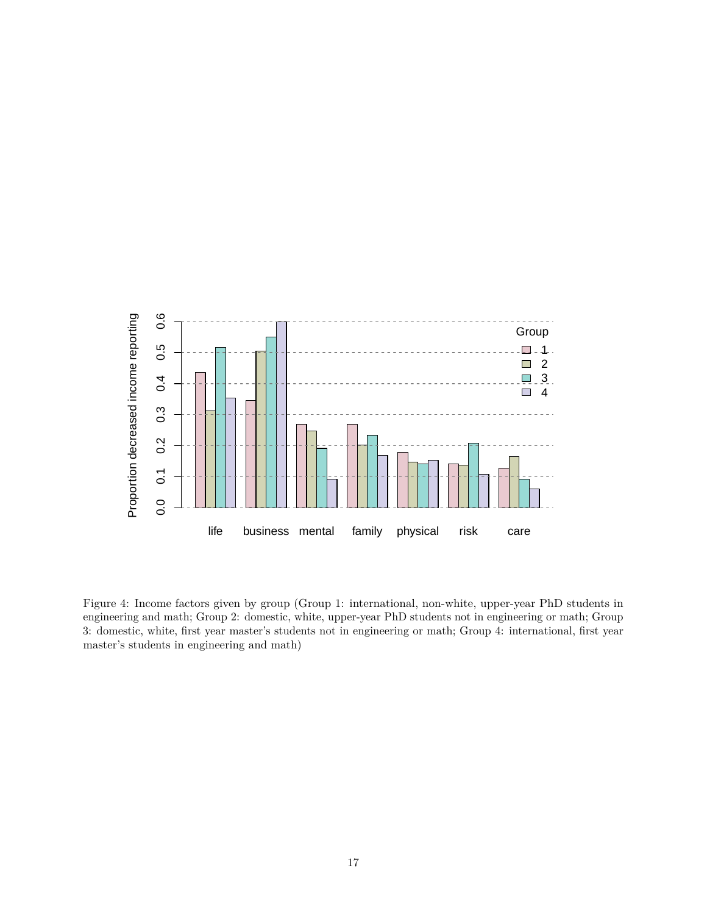

Figure 4: Income factors given by group (Group 1: international, non-white, upper-year PhD students in engineering and math; Group 2: domestic, white, upper-year PhD students not in engineering or math; Group 3: domestic, white, first year master's students not in engineering or math; Group 4: international, first year master's students in engineering and math)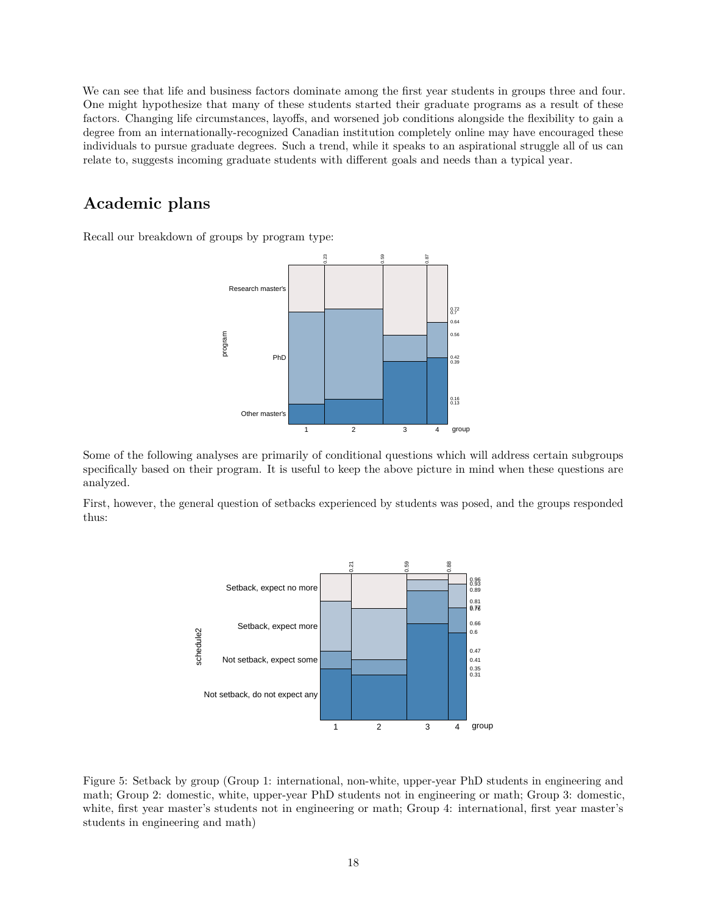We can see that life and business factors dominate among the first year students in groups three and four. One might hypothesize that many of these students started their graduate programs as a result of these factors. Changing life circumstances, layoffs, and worsened job conditions alongside the flexibility to gain a degree from an internationally-recognized Canadian institution completely online may have encouraged these individuals to pursue graduate degrees. Such a trend, while it speaks to an aspirational struggle all of us can relate to, suggests incoming graduate students with different goals and needs than a typical year.

# **Academic plans**

Recall our breakdown of groups by program type:



Some of the following analyses are primarily of conditional questions which will address certain subgroups specifically based on their program. It is useful to keep the above picture in mind when these questions are analyzed.

First, however, the general question of setbacks experienced by students was posed, and the groups responded thus:



Figure 5: Setback by group (Group 1: international, non-white, upper-year PhD students in engineering and math; Group 2: domestic, white, upper-year PhD students not in engineering or math; Group 3: domestic, white, first year master's students not in engineering or math; Group 4: international, first year master's students in engineering and math)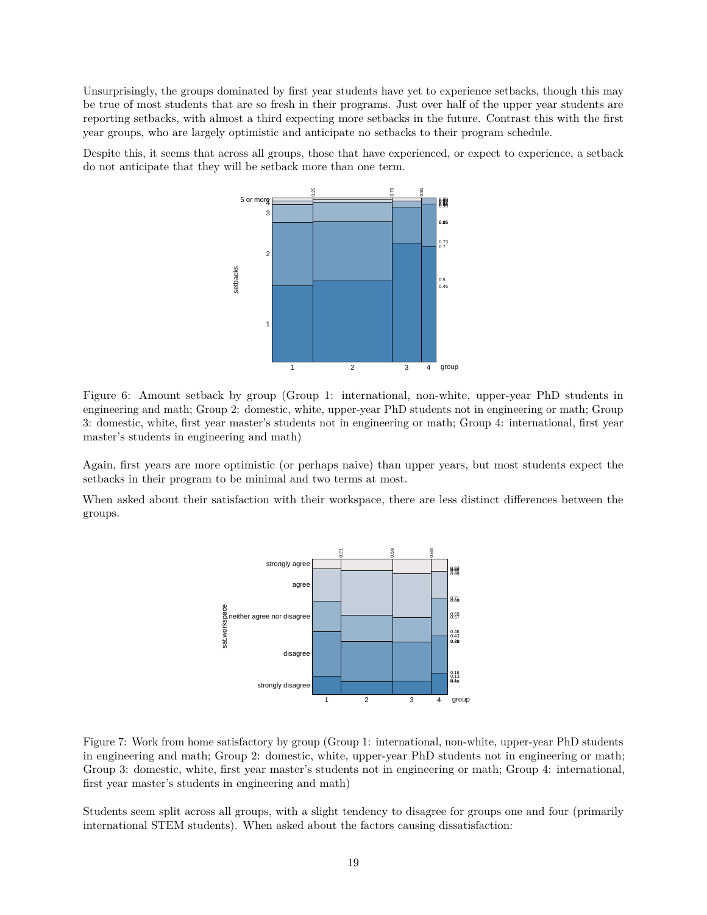Unsurprisingly, the groups dominated by first year students have yet to experience setbacks, though this may be true of most students that are so fresh in their programs. Just over half of the upper year students are reporting setbacks, with almost a third expecting more setbacks in the future. Contrast this with the first year groups, who are largely optimistic and anticipate no setbacks to their program schedule.

Despite this, it seems that across all groups, those that have experienced, or expect to experience, a setback do not anticipate that they will be setback more than one term.

![](_page_18_Figure_2.jpeg)

Figure 6: Amount setback by group (Group 1: international, non-white, upper-year PhD students in engineering and math; Group 2: domestic, white, upper-year PhD students not in engineering or math; Group 3: domestic, white, first year master's students not in engineering or math; Group 4: international, first year master's students in engineering and math)

Again, first years are more optimistic (or perhaps naive) than upper years, but most students expect the setbacks in their program to be minimal and two terms at most.

When asked about their satisfaction with their workspace, there are less distinct differences between the groups.

![](_page_18_Figure_6.jpeg)

Figure 7: Work from home satisfactory by group (Group 1: international, non-white, upper-year PhD students in engineering and math; Group 2: domestic, white, upper-year PhD students not in engineering or math; Group 3: domestic, white, first year master's students not in engineering or math; Group 4: international, first year master's students in engineering and math)

Students seem split across all groups, with a slight tendency to disagree for groups one and four (primarily international STEM students). When asked about the factors causing dissatisfaction: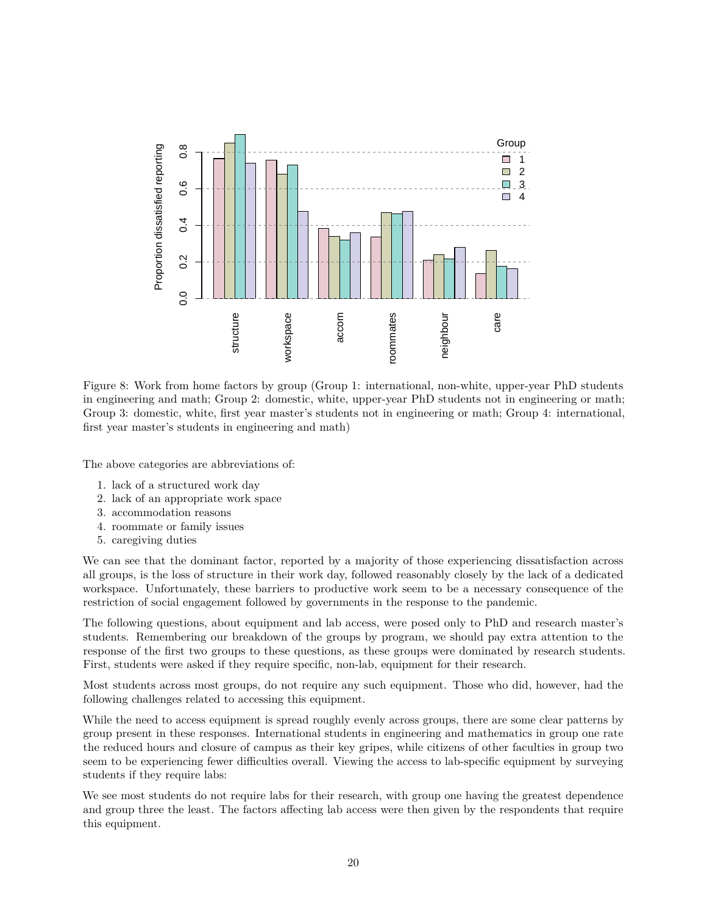![](_page_19_Figure_0.jpeg)

Figure 8: Work from home factors by group (Group 1: international, non-white, upper-year PhD students in engineering and math; Group 2: domestic, white, upper-year PhD students not in engineering or math; Group 3: domestic, white, first year master's students not in engineering or math; Group 4: international, first year master's students in engineering and math)

The above categories are abbreviations of:

- 1. lack of a structured work day
- 2. lack of an appropriate work space
- 3. accommodation reasons
- 4. roommate or family issues
- 5. caregiving duties

We can see that the dominant factor, reported by a majority of those experiencing dissatisfaction across all groups, is the loss of structure in their work day, followed reasonably closely by the lack of a dedicated workspace. Unfortunately, these barriers to productive work seem to be a necessary consequence of the restriction of social engagement followed by governments in the response to the pandemic.

The following questions, about equipment and lab access, were posed only to PhD and research master's students. Remembering our breakdown of the groups by program, we should pay extra attention to the response of the first two groups to these questions, as these groups were dominated by research students. First, students were asked if they require specific, non-lab, equipment for their research.

Most students across most groups, do not require any such equipment. Those who did, however, had the following challenges related to accessing this equipment.

While the need to access equipment is spread roughly evenly across groups, there are some clear patterns by group present in these responses. International students in engineering and mathematics in group one rate the reduced hours and closure of campus as their key gripes, while citizens of other faculties in group two seem to be experiencing fewer difficulties overall. Viewing the access to lab-specific equipment by surveying students if they require labs:

We see most students do not require labs for their research, with group one having the greatest dependence and group three the least. The factors affecting lab access were then given by the respondents that require this equipment.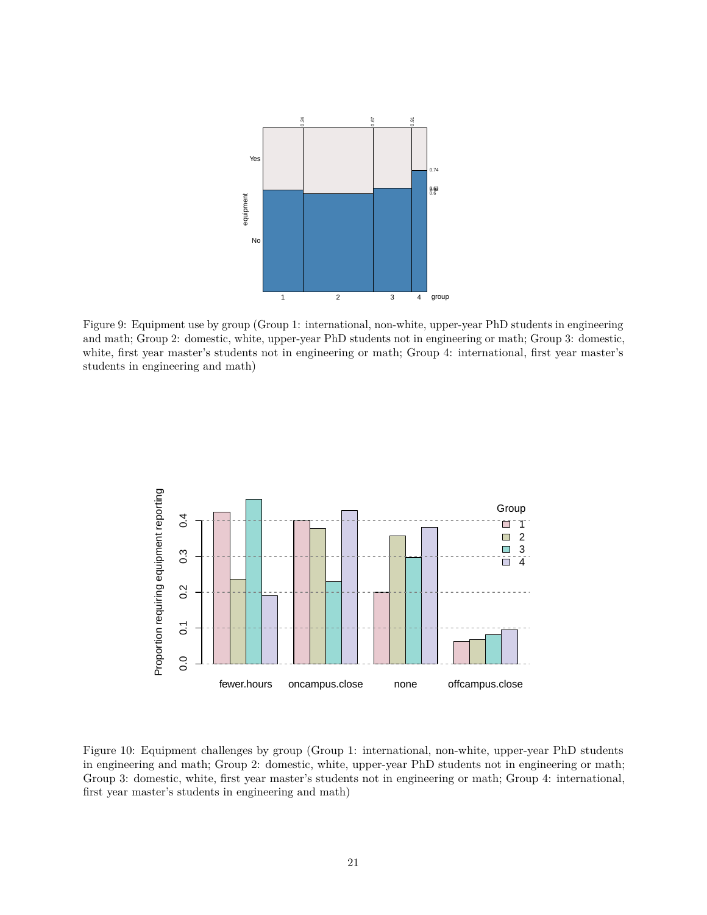![](_page_20_Figure_0.jpeg)

Figure 9: Equipment use by group (Group 1: international, non-white, upper-year PhD students in engineering and math; Group 2: domestic, white, upper-year PhD students not in engineering or math; Group 3: domestic, white, first year master's students not in engineering or math; Group 4: international, first year master's students in engineering and math)

![](_page_20_Figure_2.jpeg)

Figure 10: Equipment challenges by group (Group 1: international, non-white, upper-year PhD students in engineering and math; Group 2: domestic, white, upper-year PhD students not in engineering or math; Group 3: domestic, white, first year master's students not in engineering or math; Group 4: international, first year master's students in engineering and math)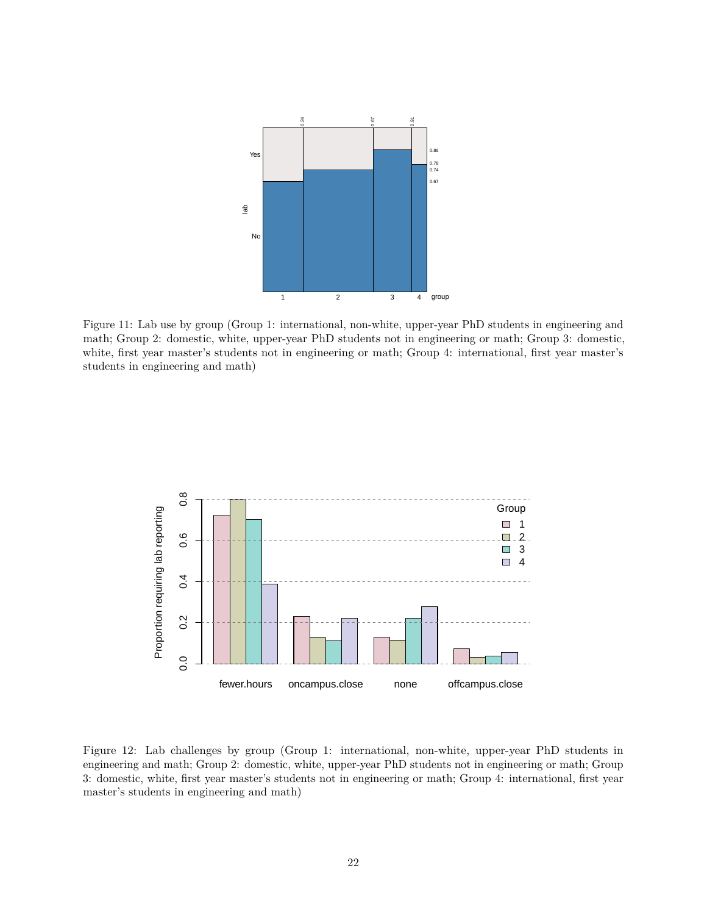![](_page_21_Figure_0.jpeg)

Figure 11: Lab use by group (Group 1: international, non-white, upper-year PhD students in engineering and math; Group 2: domestic, white, upper-year PhD students not in engineering or math; Group 3: domestic, white, first year master's students not in engineering or math; Group 4: international, first year master's students in engineering and math)

![](_page_21_Figure_2.jpeg)

Figure 12: Lab challenges by group (Group 1: international, non-white, upper-year PhD students in engineering and math; Group 2: domestic, white, upper-year PhD students not in engineering or math; Group 3: domestic, white, first year master's students not in engineering or math; Group 4: international, first year master's students in engineering and math)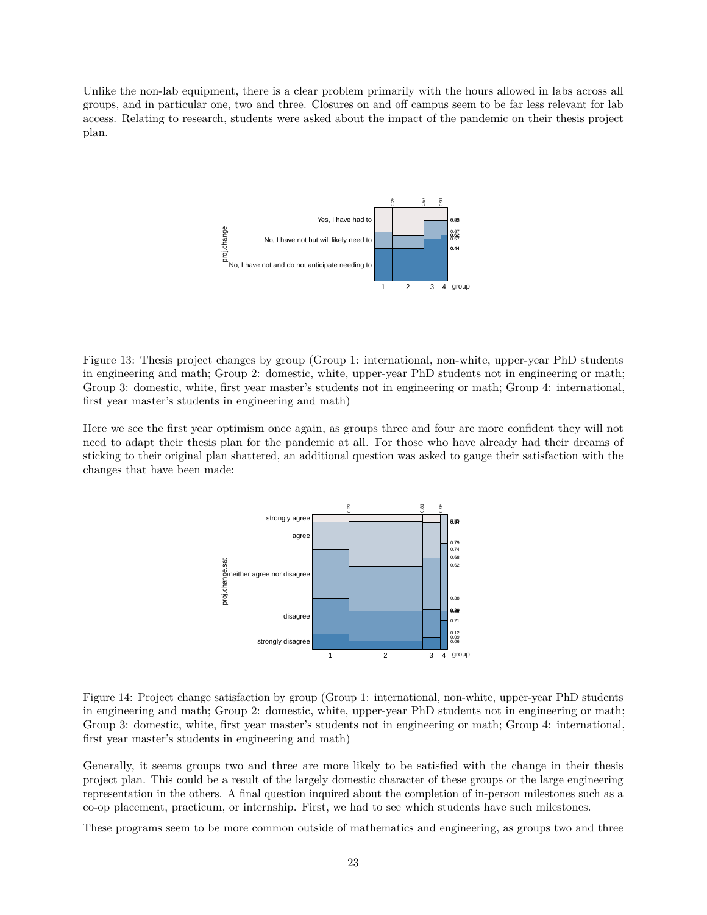Unlike the non-lab equipment, there is a clear problem primarily with the hours allowed in labs across all groups, and in particular one, two and three. Closures on and off campus seem to be far less relevant for lab access. Relating to research, students were asked about the impact of the pandemic on their thesis project plan.

![](_page_22_Figure_1.jpeg)

Figure 13: Thesis project changes by group (Group 1: international, non-white, upper-year PhD students in engineering and math; Group 2: domestic, white, upper-year PhD students not in engineering or math; Group 3: domestic, white, first year master's students not in engineering or math; Group 4: international, first year master's students in engineering and math)

Here we see the first year optimism once again, as groups three and four are more confident they will not need to adapt their thesis plan for the pandemic at all. For those who have already had their dreams of sticking to their original plan shattered, an additional question was asked to gauge their satisfaction with the changes that have been made:

![](_page_22_Figure_4.jpeg)

Figure 14: Project change satisfaction by group (Group 1: international, non-white, upper-year PhD students in engineering and math; Group 2: domestic, white, upper-year PhD students not in engineering or math; Group 3: domestic, white, first year master's students not in engineering or math; Group 4: international, first year master's students in engineering and math)

Generally, it seems groups two and three are more likely to be satisfied with the change in their thesis project plan. This could be a result of the largely domestic character of these groups or the large engineering representation in the others. A final question inquired about the completion of in-person milestones such as a co-op placement, practicum, or internship. First, we had to see which students have such milestones.

These programs seem to be more common outside of mathematics and engineering, as groups two and three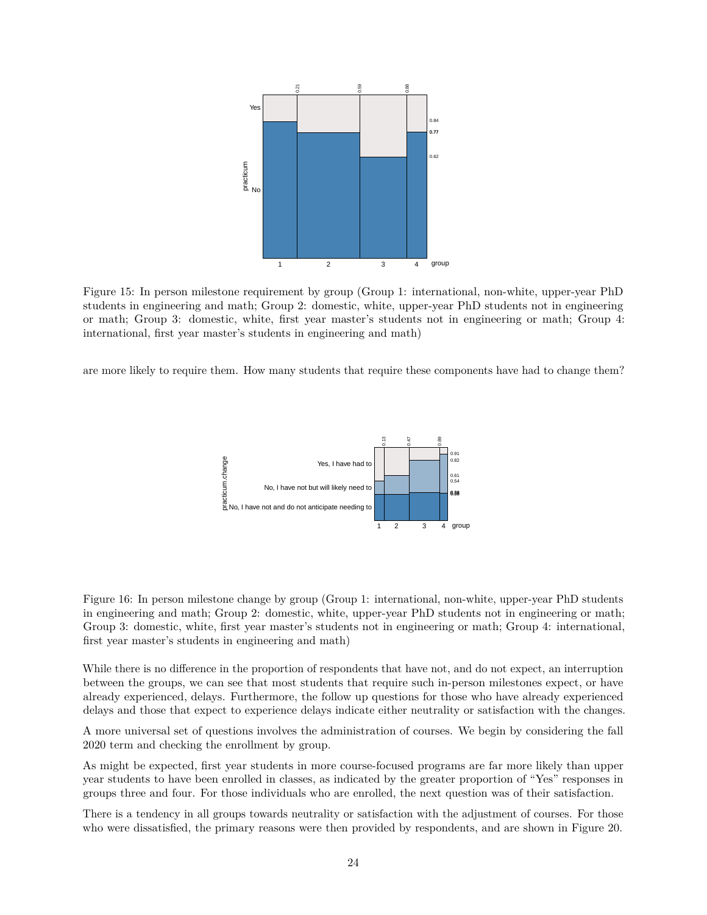![](_page_23_Figure_0.jpeg)

Figure 15: In person milestone requirement by group (Group 1: international, non-white, upper-year PhD students in engineering and math; Group 2: domestic, white, upper-year PhD students not in engineering or math; Group 3: domestic, white, first year master's students not in engineering or math; Group 4: international, first year master's students in engineering and math)

are more likely to require them. How many students that require these components have had to change them?

![](_page_23_Figure_3.jpeg)

Figure 16: In person milestone change by group (Group 1: international, non-white, upper-year PhD students in engineering and math; Group 2: domestic, white, upper-year PhD students not in engineering or math; Group 3: domestic, white, first year master's students not in engineering or math; Group 4: international, first year master's students in engineering and math)

While there is no difference in the proportion of respondents that have not, and do not expect, an interruption between the groups, we can see that most students that require such in-person milestones expect, or have already experienced, delays. Furthermore, the follow up questions for those who have already experienced delays and those that expect to experience delays indicate either neutrality or satisfaction with the changes.

A more universal set of questions involves the administration of courses. We begin by considering the fall 2020 term and checking the enrollment by group.

As might be expected, first year students in more course-focused programs are far more likely than upper year students to have been enrolled in classes, as indicated by the greater proportion of "Yes" responses in groups three and four. For those individuals who are enrolled, the next question was of their satisfaction.

There is a tendency in all groups towards neutrality or satisfaction with the adjustment of courses. For those who were dissatisfied, the primary reasons were then provided by respondents, and are shown in Figure 20.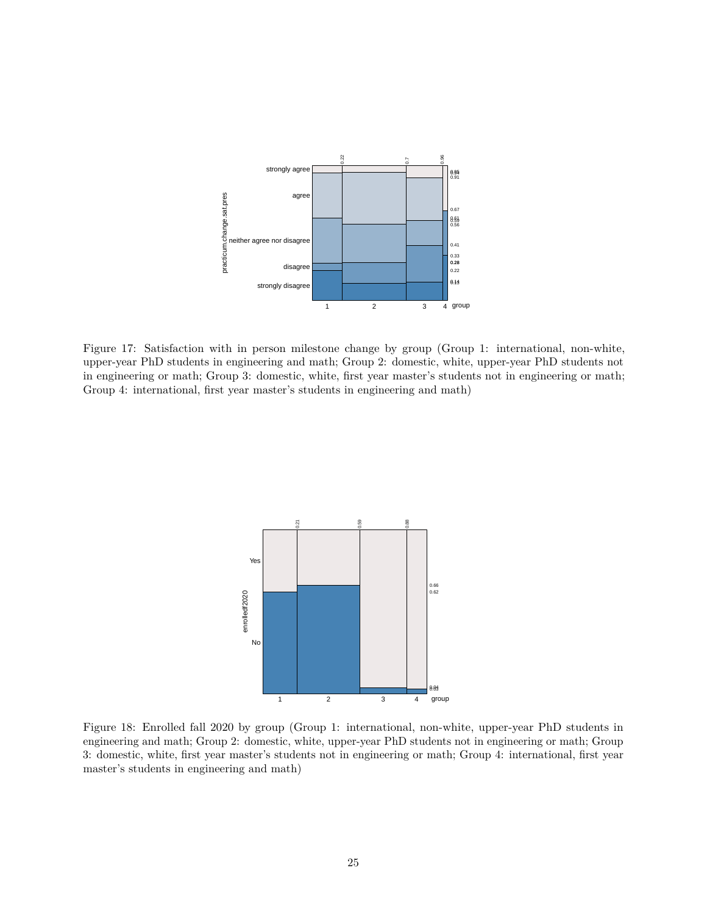![](_page_24_Figure_0.jpeg)

Figure 17: Satisfaction with in person milestone change by group (Group 1: international, non-white, upper-year PhD students in engineering and math; Group 2: domestic, white, upper-year PhD students not in engineering or math; Group 3: domestic, white, first year master's students not in engineering or math; Group 4: international, first year master's students in engineering and math)

![](_page_24_Figure_2.jpeg)

Figure 18: Enrolled fall 2020 by group (Group 1: international, non-white, upper-year PhD students in engineering and math; Group 2: domestic, white, upper-year PhD students not in engineering or math; Group 3: domestic, white, first year master's students not in engineering or math; Group 4: international, first year master's students in engineering and math)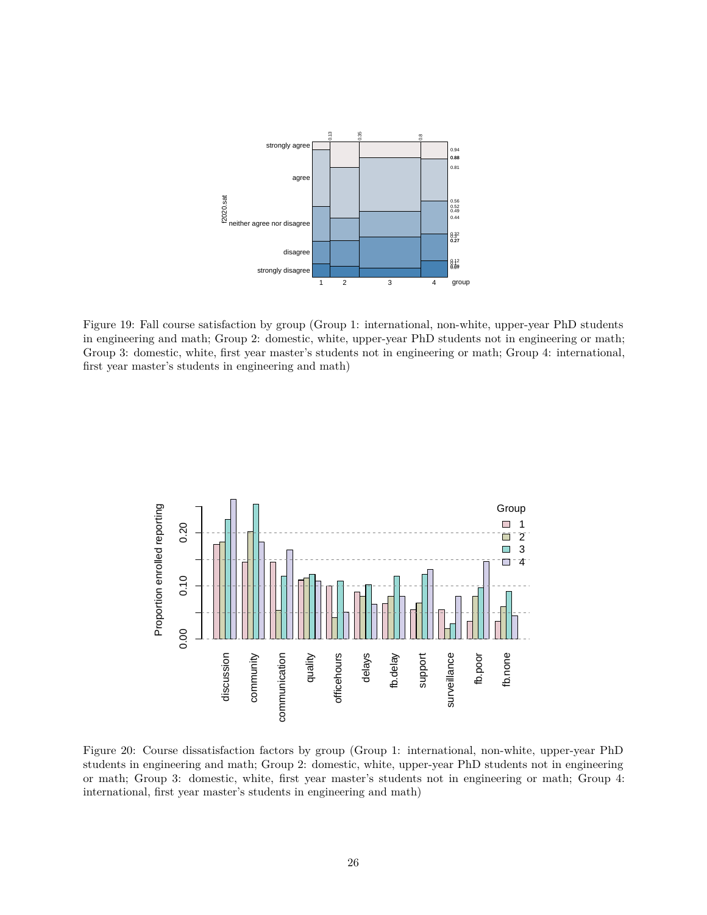![](_page_25_Figure_0.jpeg)

Figure 19: Fall course satisfaction by group (Group 1: international, non-white, upper-year PhD students in engineering and math; Group 2: domestic, white, upper-year PhD students not in engineering or math; Group 3: domestic, white, first year master's students not in engineering or math; Group 4: international, first year master's students in engineering and math)

![](_page_25_Figure_2.jpeg)

Figure 20: Course dissatisfaction factors by group (Group 1: international, non-white, upper-year PhD students in engineering and math; Group 2: domestic, white, upper-year PhD students not in engineering or math; Group 3: domestic, white, first year master's students not in engineering or math; Group 4: international, first year master's students in engineering and math)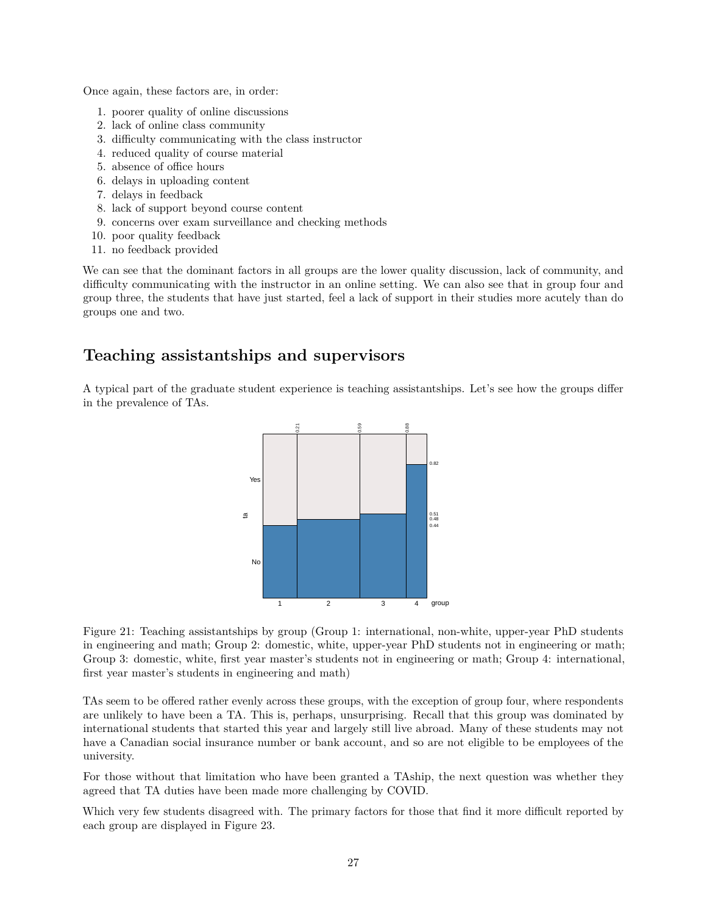Once again, these factors are, in order:

- 1. poorer quality of online discussions
- 2. lack of online class community
- 3. difficulty communicating with the class instructor
- 4. reduced quality of course material
- 5. absence of office hours
- 6. delays in uploading content
- 7. delays in feedback
- 8. lack of support beyond course content
- 9. concerns over exam surveillance and checking methods
- 10. poor quality feedback
- 11. no feedback provided

We can see that the dominant factors in all groups are the lower quality discussion, lack of community, and difficulty communicating with the instructor in an online setting. We can also see that in group four and group three, the students that have just started, feel a lack of support in their studies more acutely than do groups one and two.

# **Teaching assistantships and supervisors**

A typical part of the graduate student experience is teaching assistantships. Let's see how the groups differ in the prevalence of TAs.

![](_page_26_Figure_15.jpeg)

Figure 21: Teaching assistantships by group (Group 1: international, non-white, upper-year PhD students in engineering and math; Group 2: domestic, white, upper-year PhD students not in engineering or math; Group 3: domestic, white, first year master's students not in engineering or math; Group 4: international, first year master's students in engineering and math)

TAs seem to be offered rather evenly across these groups, with the exception of group four, where respondents are unlikely to have been a TA. This is, perhaps, unsurprising. Recall that this group was dominated by international students that started this year and largely still live abroad. Many of these students may not have a Canadian social insurance number or bank account, and so are not eligible to be employees of the university.

For those without that limitation who have been granted a TAship, the next question was whether they agreed that TA duties have been made more challenging by COVID.

Which very few students disagreed with. The primary factors for those that find it more difficult reported by each group are displayed in Figure 23.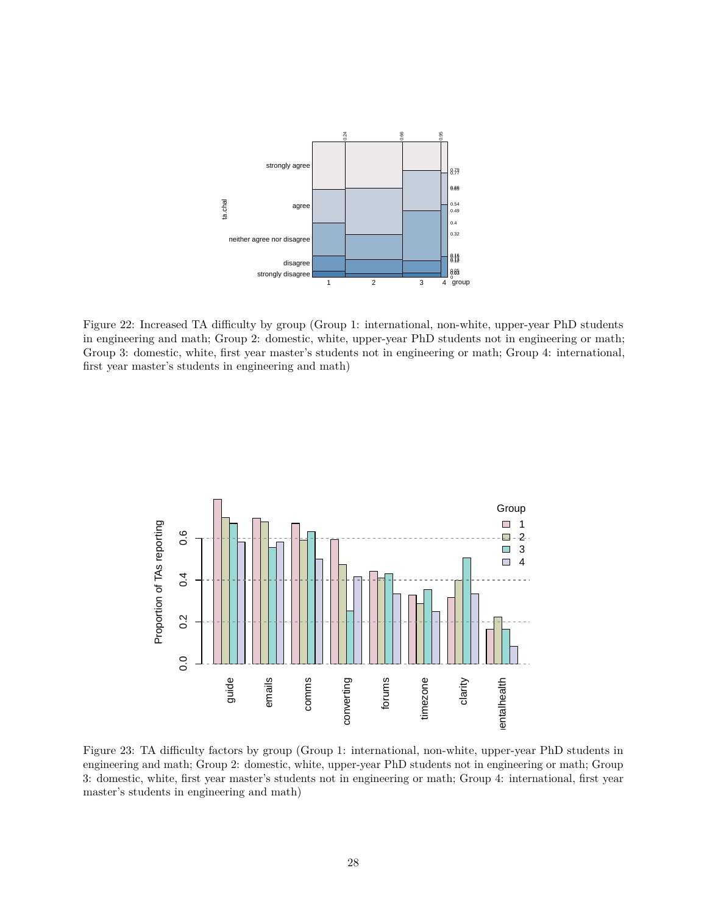![](_page_27_Figure_0.jpeg)

Figure 22: Increased TA difficulty by group (Group 1: international, non-white, upper-year PhD students in engineering and math; Group 2: domestic, white, upper-year PhD students not in engineering or math; Group 3: domestic, white, first year master's students not in engineering or math; Group 4: international, first year master's students in engineering and math)

![](_page_27_Figure_2.jpeg)

Figure 23: TA difficulty factors by group (Group 1: international, non-white, upper-year PhD students in engineering and math; Group 2: domestic, white, upper-year PhD students not in engineering or math; Group 3: domestic, white, first year master's students not in engineering or math; Group 4: international, first year master's students in engineering and math)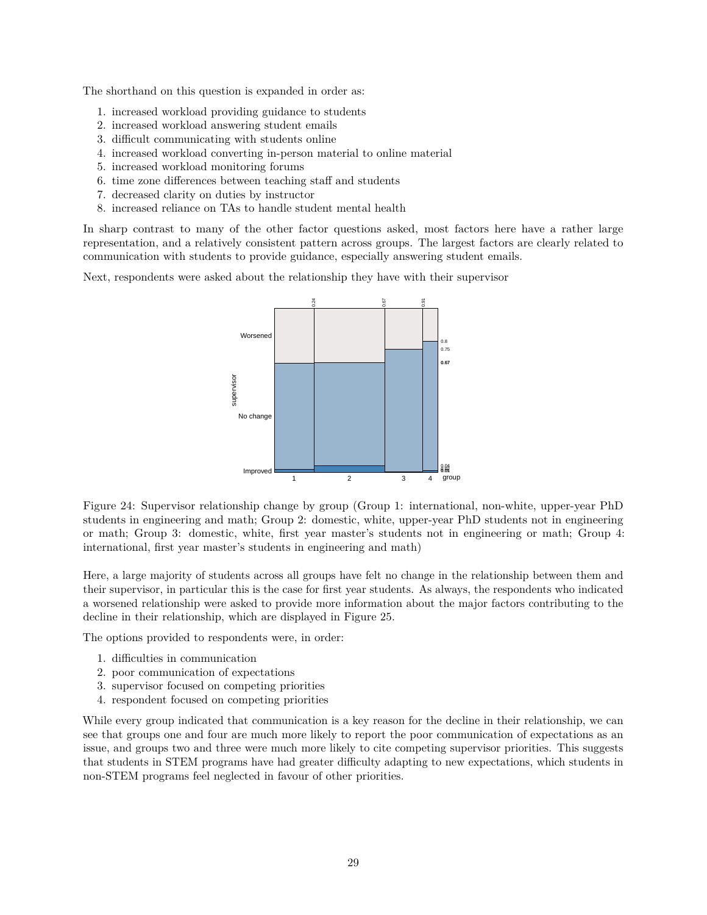The shorthand on this question is expanded in order as:

- 1. increased workload providing guidance to students
- 2. increased workload answering student emails
- 3. difficult communicating with students online
- 4. increased workload converting in-person material to online material
- 5. increased workload monitoring forums
- 6. time zone differences between teaching staff and students
- 7. decreased clarity on duties by instructor
- 8. increased reliance on TAs to handle student mental health

In sharp contrast to many of the other factor questions asked, most factors here have a rather large representation, and a relatively consistent pattern across groups. The largest factors are clearly related to communication with students to provide guidance, especially answering student emails.

Next, respondents were asked about the relationship they have with their supervisor

![](_page_28_Figure_11.jpeg)

Figure 24: Supervisor relationship change by group (Group 1: international, non-white, upper-year PhD students in engineering and math; Group 2: domestic, white, upper-year PhD students not in engineering or math; Group 3: domestic, white, first year master's students not in engineering or math; Group 4: international, first year master's students in engineering and math)

Here, a large majority of students across all groups have felt no change in the relationship between them and their supervisor, in particular this is the case for first year students. As always, the respondents who indicated a worsened relationship were asked to provide more information about the major factors contributing to the decline in their relationship, which are displayed in Figure 25.

The options provided to respondents were, in order:

- 1. difficulties in communication
- 2. poor communication of expectations
- 3. supervisor focused on competing priorities
- 4. respondent focused on competing priorities

While every group indicated that communication is a key reason for the decline in their relationship, we can see that groups one and four are much more likely to report the poor communication of expectations as an issue, and groups two and three were much more likely to cite competing supervisor priorities. This suggests that students in STEM programs have had greater difficulty adapting to new expectations, which students in non-STEM programs feel neglected in favour of other priorities.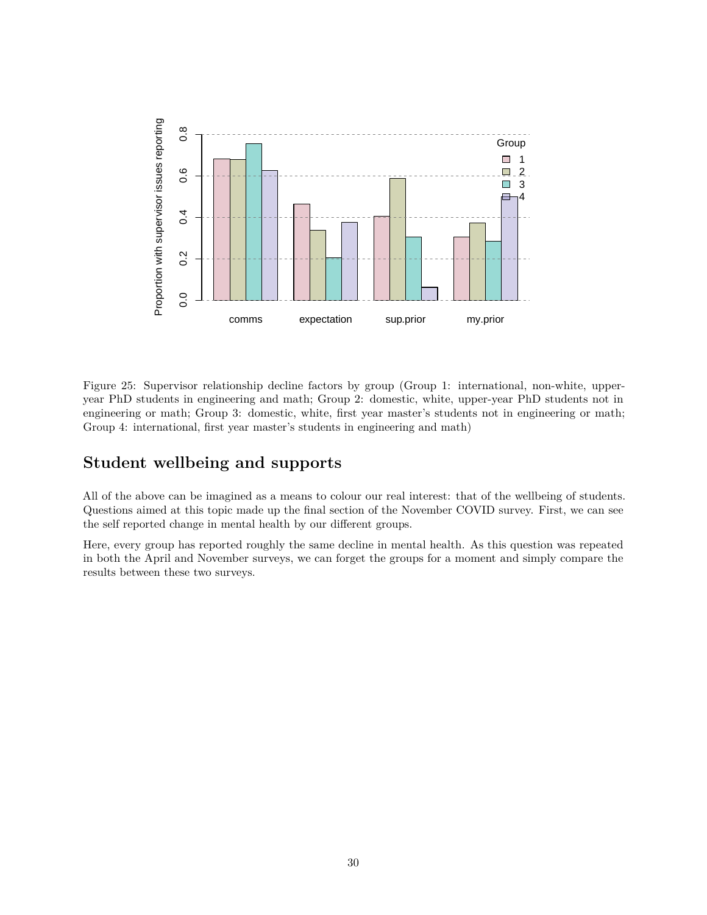![](_page_29_Figure_0.jpeg)

Figure 25: Supervisor relationship decline factors by group (Group 1: international, non-white, upperyear PhD students in engineering and math; Group 2: domestic, white, upper-year PhD students not in engineering or math; Group 3: domestic, white, first year master's students not in engineering or math; Group 4: international, first year master's students in engineering and math)

# **Student wellbeing and supports**

All of the above can be imagined as a means to colour our real interest: that of the wellbeing of students. Questions aimed at this topic made up the final section of the November COVID survey. First, we can see the self reported change in mental health by our different groups.

Here, every group has reported roughly the same decline in mental health. As this question was repeated in both the April and November surveys, we can forget the groups for a moment and simply compare the results between these two surveys.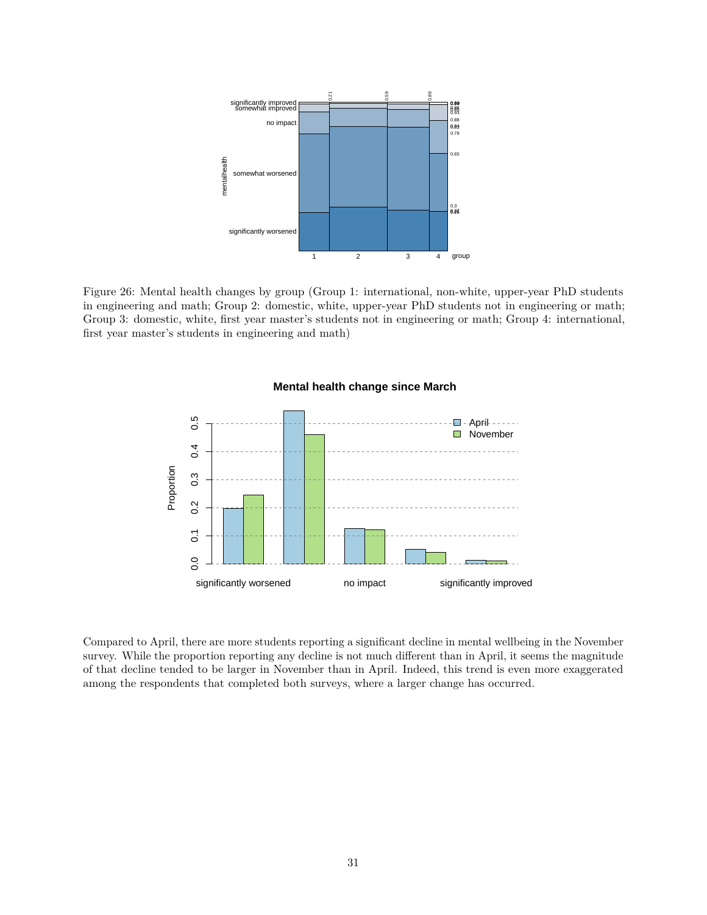![](_page_30_Figure_0.jpeg)

Figure 26: Mental health changes by group (Group 1: international, non-white, upper-year PhD students in engineering and math; Group 2: domestic, white, upper-year PhD students not in engineering or math; Group 3: domestic, white, first year master's students not in engineering or math; Group 4: international, first year master's students in engineering and math)

![](_page_30_Figure_2.jpeg)

#### **Mental health change since March**

Compared to April, there are more students reporting a significant decline in mental wellbeing in the November survey. While the proportion reporting any decline is not much different than in April, it seems the magnitude of that decline tended to be larger in November than in April. Indeed, this trend is even more exaggerated among the respondents that completed both surveys, where a larger change has occurred.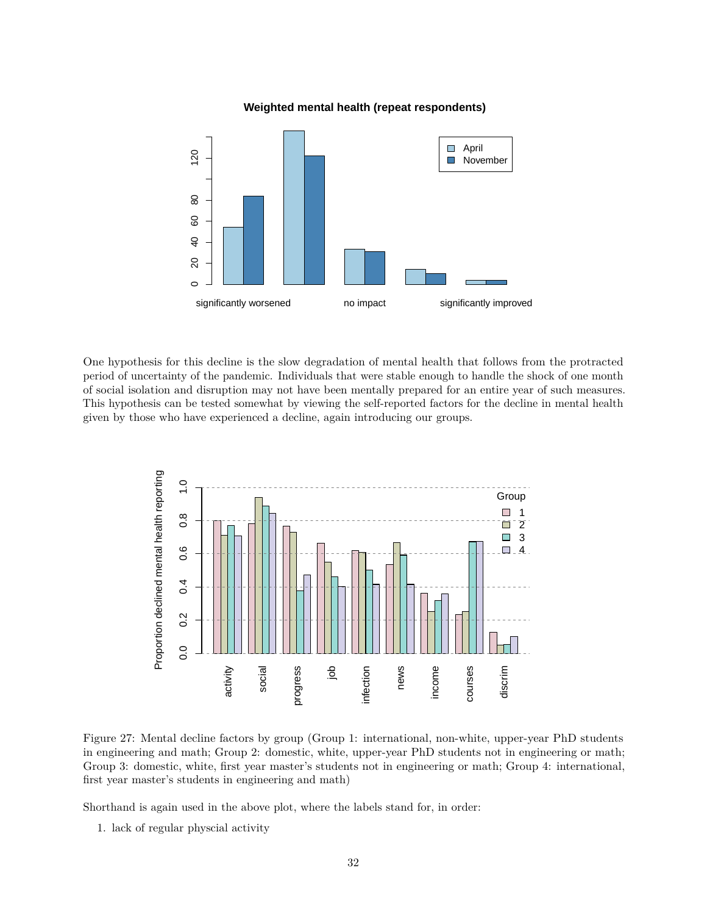#### **Weighted mental health (repeat respondents)**

![](_page_31_Figure_1.jpeg)

One hypothesis for this decline is the slow degradation of mental health that follows from the protracted period of uncertainty of the pandemic. Individuals that were stable enough to handle the shock of one month of social isolation and disruption may not have been mentally prepared for an entire year of such measures. This hypothesis can be tested somewhat by viewing the self-reported factors for the decline in mental health given by those who have experienced a decline, again introducing our groups.

![](_page_31_Figure_3.jpeg)

Figure 27: Mental decline factors by group (Group 1: international, non-white, upper-year PhD students in engineering and math; Group 2: domestic, white, upper-year PhD students not in engineering or math; Group 3: domestic, white, first year master's students not in engineering or math; Group 4: international, first year master's students in engineering and math)

Shorthand is again used in the above plot, where the labels stand for, in order:

1. lack of regular physcial activity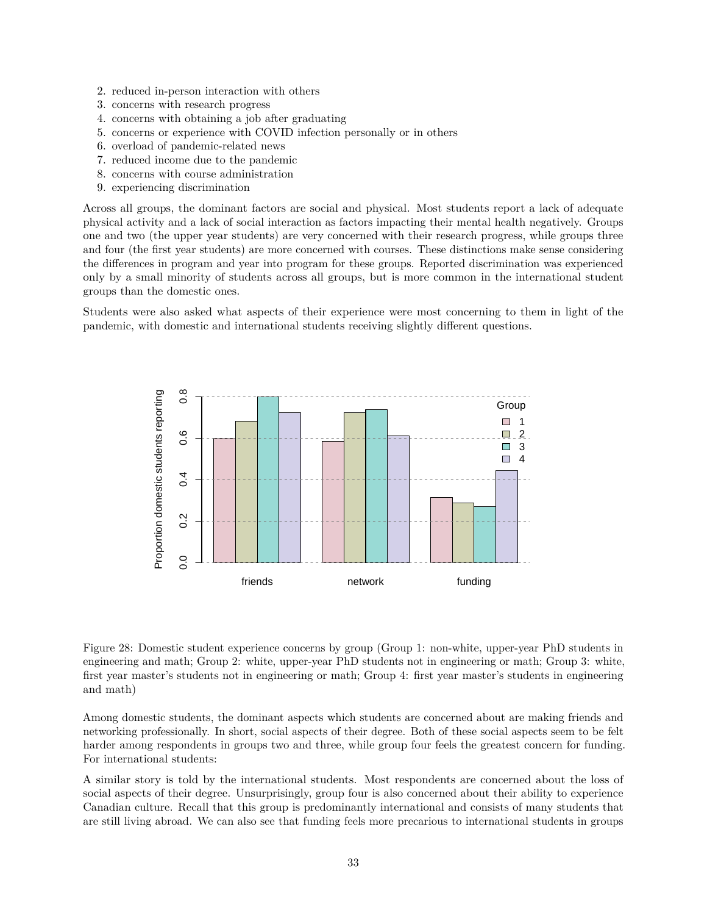- 2. reduced in-person interaction with others
- 3. concerns with research progress
- 4. concerns with obtaining a job after graduating
- 5. concerns or experience with COVID infection personally or in others
- 6. overload of pandemic-related news
- 7. reduced income due to the pandemic
- 8. concerns with course administration
- 9. experiencing discrimination

Across all groups, the dominant factors are social and physical. Most students report a lack of adequate physical activity and a lack of social interaction as factors impacting their mental health negatively. Groups one and two (the upper year students) are very concerned with their research progress, while groups three and four (the first year students) are more concerned with courses. These distinctions make sense considering the differences in program and year into program for these groups. Reported discrimination was experienced only by a small minority of students across all groups, but is more common in the international student groups than the domestic ones.

Students were also asked what aspects of their experience were most concerning to them in light of the pandemic, with domestic and international students receiving slightly different questions.

![](_page_32_Figure_10.jpeg)

Figure 28: Domestic student experience concerns by group (Group 1: non-white, upper-year PhD students in engineering and math; Group 2: white, upper-year PhD students not in engineering or math; Group 3: white, first year master's students not in engineering or math; Group 4: first year master's students in engineering and math)

Among domestic students, the dominant aspects which students are concerned about are making friends and networking professionally. In short, social aspects of their degree. Both of these social aspects seem to be felt harder among respondents in groups two and three, while group four feels the greatest concern for funding. For international students:

A similar story is told by the international students. Most respondents are concerned about the loss of social aspects of their degree. Unsurprisingly, group four is also concerned about their ability to experience Canadian culture. Recall that this group is predominantly international and consists of many students that are still living abroad. We can also see that funding feels more precarious to international students in groups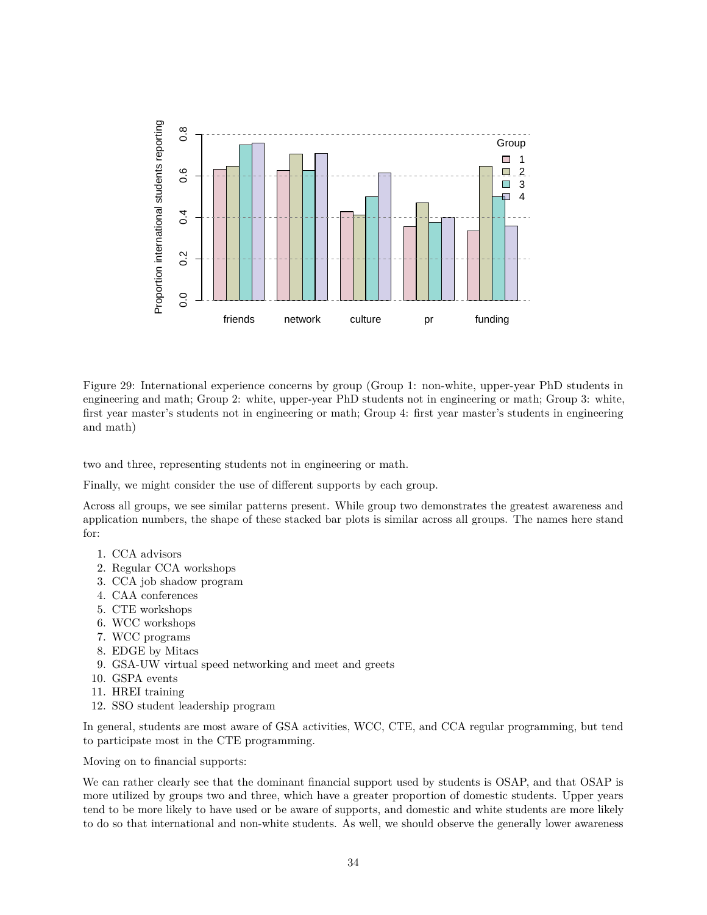![](_page_33_Figure_0.jpeg)

Figure 29: International experience concerns by group (Group 1: non-white, upper-year PhD students in engineering and math; Group 2: white, upper-year PhD students not in engineering or math; Group 3: white, first year master's students not in engineering or math; Group 4: first year master's students in engineering and math)

two and three, representing students not in engineering or math.

Finally, we might consider the use of different supports by each group.

Across all groups, we see similar patterns present. While group two demonstrates the greatest awareness and application numbers, the shape of these stacked bar plots is similar across all groups. The names here stand for:

- 1. CCA advisors
- 2. Regular CCA workshops
- 3. CCA job shadow program
- 4. CAA conferences
- 5. CTE workshops
- 6. WCC workshops
- 7. WCC programs
- 8. EDGE by Mitacs
- 9. GSA-UW virtual speed networking and meet and greets
- 10. GSPA events
- 11. HREI training
- 12. SSO student leadership program

In general, students are most aware of GSA activities, WCC, CTE, and CCA regular programming, but tend to participate most in the CTE programming.

Moving on to financial supports:

We can rather clearly see that the dominant financial support used by students is OSAP, and that OSAP is more utilized by groups two and three, which have a greater proportion of domestic students. Upper years tend to be more likely to have used or be aware of supports, and domestic and white students are more likely to do so that international and non-white students. As well, we should observe the generally lower awareness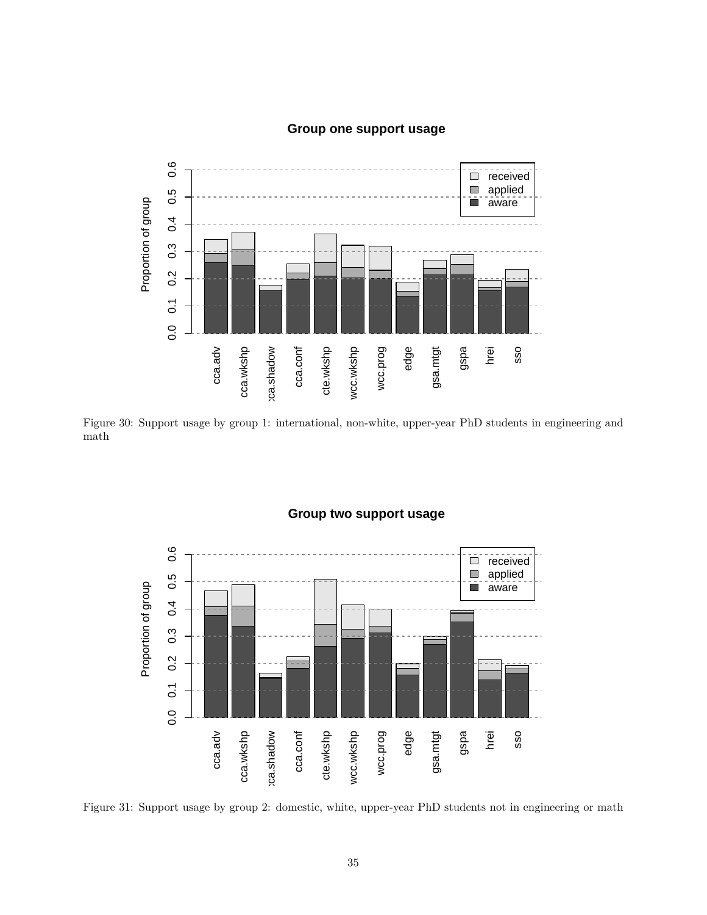## **Group one support usage**

![](_page_34_Figure_1.jpeg)

Figure 30: Support usage by group 1: international, non-white, upper-year PhD students in engineering and math

![](_page_34_Figure_3.jpeg)

### **Group two support usage**

Figure 31: Support usage by group 2: domestic, white, upper-year PhD students not in engineering or math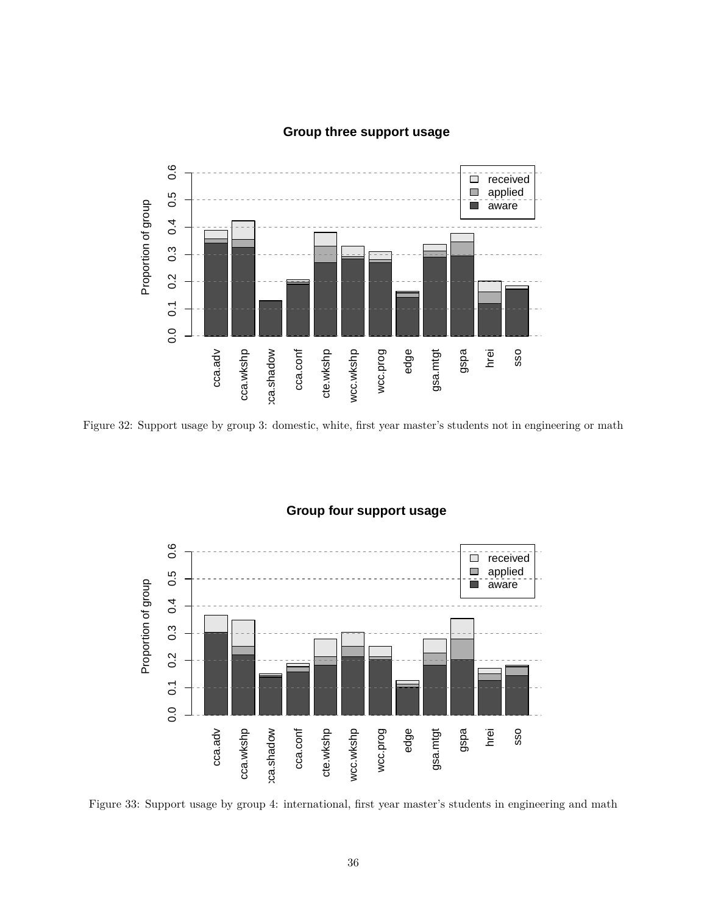![](_page_35_Figure_0.jpeg)

### **Group three support usage**

Figure 32: Support usage by group 3: domestic, white, first year master's students not in engineering or math

![](_page_35_Figure_3.jpeg)

### **Group four support usage**

Figure 33: Support usage by group 4: international, first year master's students in engineering and math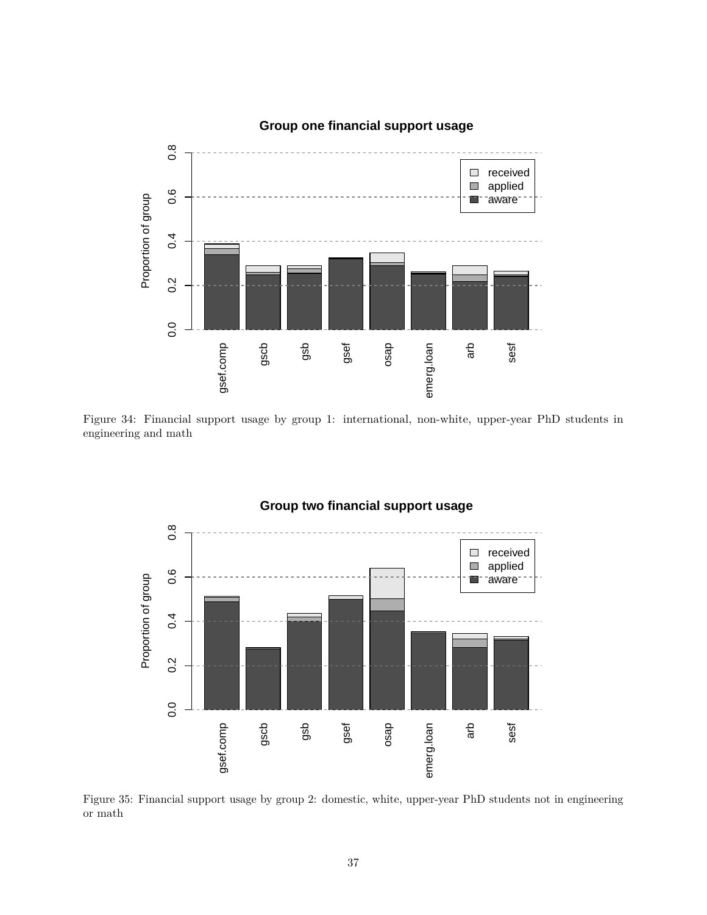![](_page_36_Figure_0.jpeg)

### **Group one financial support usage**

Figure 34: Financial support usage by group 1: international, non-white, upper-year PhD students in engineering and math

![](_page_36_Figure_3.jpeg)

#### Figure 35: Financial support usage by group 2: domestic, white, upper-year PhD students not in engineering or math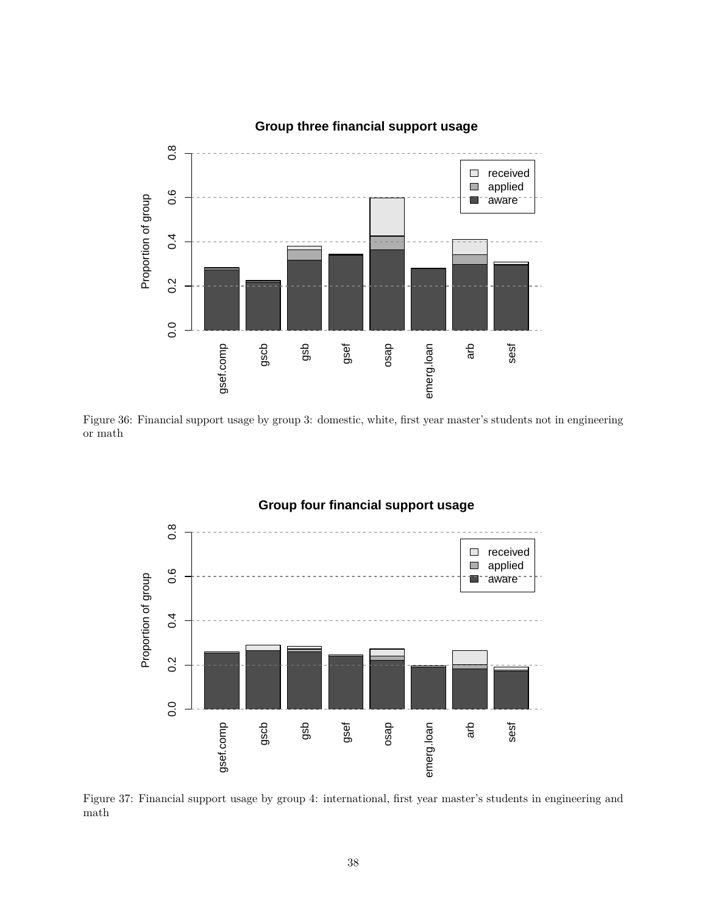![](_page_37_Figure_0.jpeg)

### **Group three financial support usage**

Figure 36: Financial support usage by group 3: domestic, white, first year master's students not in engineering or math

![](_page_37_Figure_3.jpeg)

Figure 37: Financial support usage by group 4: international, first year master's students in engineering and math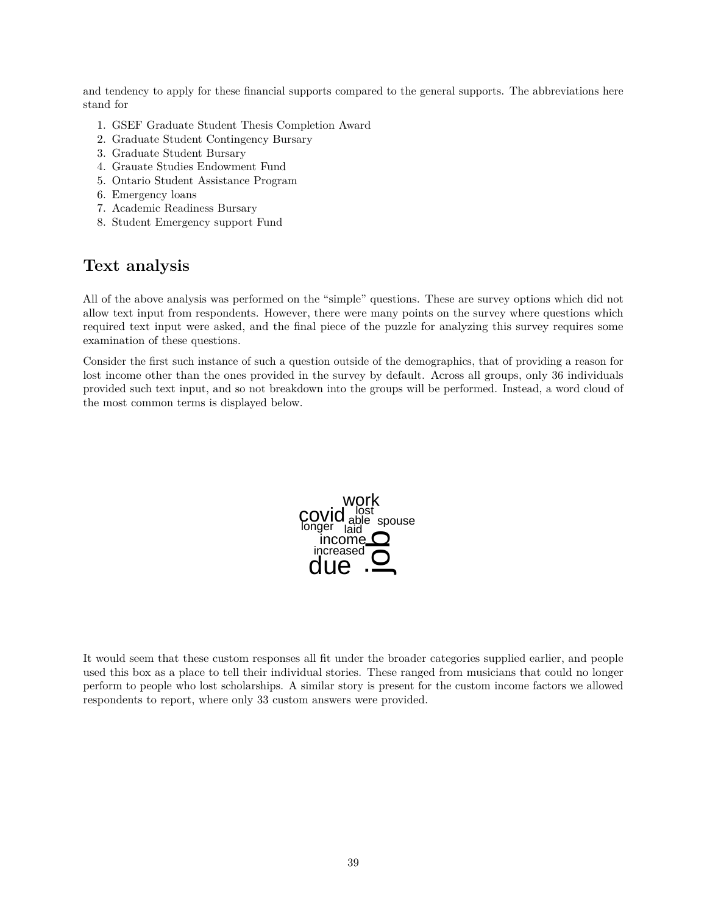and tendency to apply for these financial supports compared to the general supports. The abbreviations here stand for

- 1. GSEF Graduate Student Thesis Completion Award
- 2. Graduate Student Contingency Bursary
- 3. Graduate Student Bursary
- 4. Grauate Studies Endowment Fund
- 5. Ontario Student Assistance Program
- 6. Emergency loans
- 7. Academic Readiness Bursary
- 8. Student Emergency support Fund

# **Text analysis**

All of the above analysis was performed on the "simple" questions. These are survey options which did not allow text input from respondents. However, there were many points on the survey where questions which required text input were asked, and the final piece of the puzzle for analyzing this survey requires some examination of these questions.

Consider the first such instance of such a question outside of the demographics, that of providing a reason for lost income other than the ones provided in the survey by default. Across all groups, only 36 individuals provided such text input, and so not breakdown into the groups will be performed. Instead, a word cloud of the most common terms is displayed below.

![](_page_38_Picture_12.jpeg)

It would seem that these custom responses all fit under the broader categories supplied earlier, and people used this box as a place to tell their individual stories. These ranged from musicians that could no longer perform to people who lost scholarships. A similar story is present for the custom income factors we allowed respondents to report, where only 33 custom answers were provided.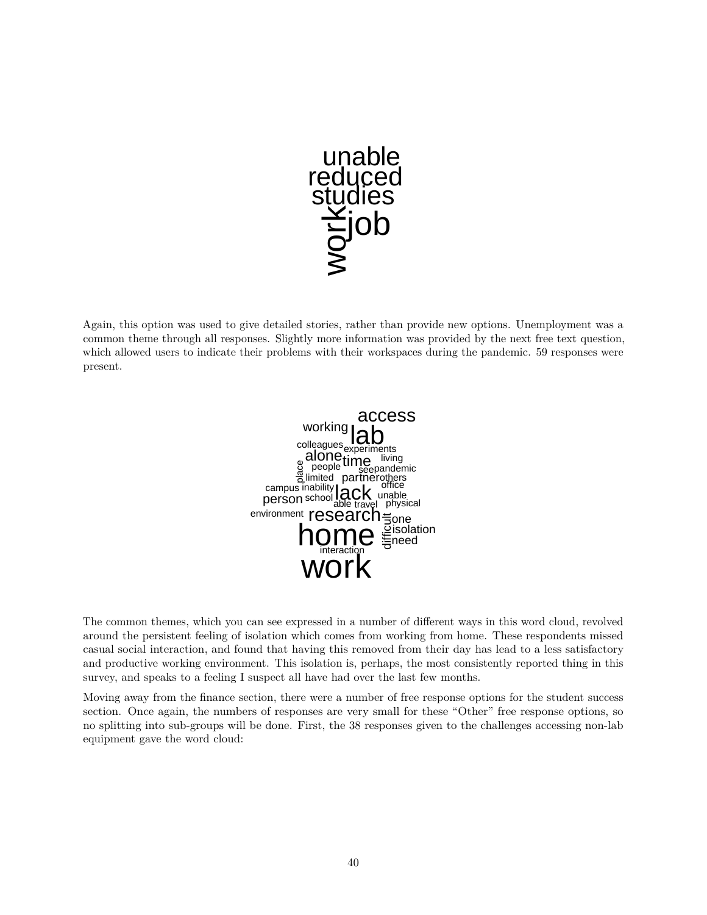![](_page_39_Picture_0.jpeg)

Again, this option was used to give detailed stories, rather than provide new options. Unemployment was a common theme through all responses. Slightly more information was provided by the next free text question, which allowed users to indicate their problems with their workspaces during the pandemic. 59 responses were present.

![](_page_39_Picture_2.jpeg)

The common themes, which you can see expressed in a number of different ways in this word cloud, revolved around the persistent feeling of isolation which comes from working from home. These respondents missed casual social interaction, and found that having this removed from their day has lead to a less satisfactory and productive working environment. This isolation is, perhaps, the most consistently reported thing in this survey, and speaks to a feeling I suspect all have had over the last few months.

Moving away from the finance section, there were a number of free response options for the student success section. Once again, the numbers of responses are very small for these "Other" free response options, so no splitting into sub-groups will be done. First, the 38 responses given to the challenges accessing non-lab equipment gave the word cloud: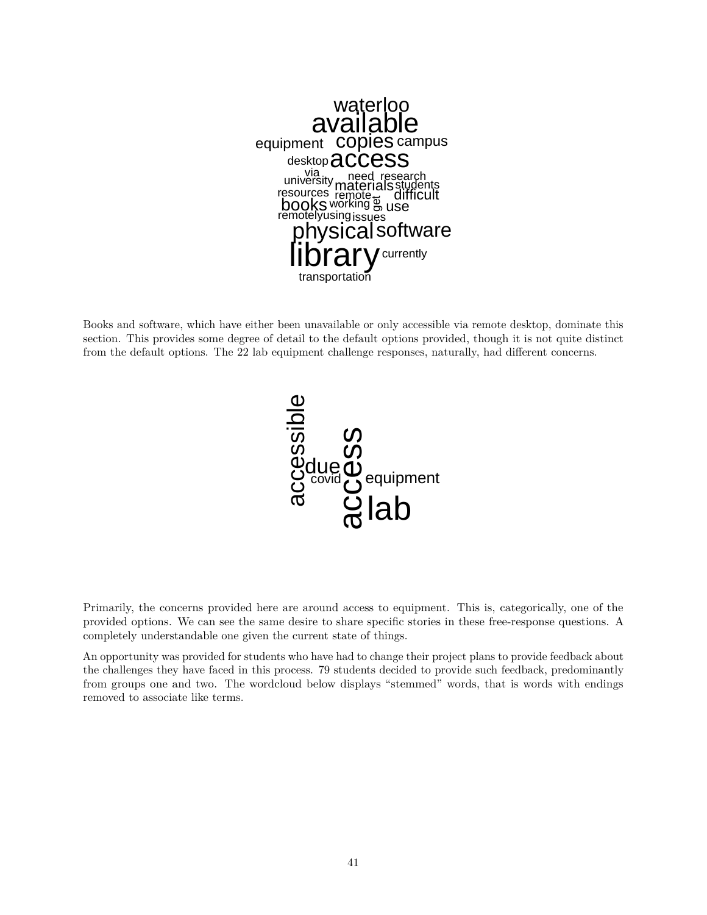![](_page_40_Picture_0.jpeg)

Books and software, which have either been unavailable or only accessible via remote desktop, dominate this section. This provides some degree of detail to the default options provided, though it is not quite distinct from the default options. The 22 lab equipment challenge responses, naturally, had different concerns.

![](_page_40_Figure_2.jpeg)

Primarily, the concerns provided here are around access to equipment. This is, categorically, one of the provided options. We can see the same desire to share specific stories in these free-response questions. A completely understandable one given the current state of things.

An opportunity was provided for students who have had to change their project plans to provide feedback about the challenges they have faced in this process. 79 students decided to provide such feedback, predominantly from groups one and two. The wordcloud below displays "stemmed" words, that is words with endings removed to associate like terms.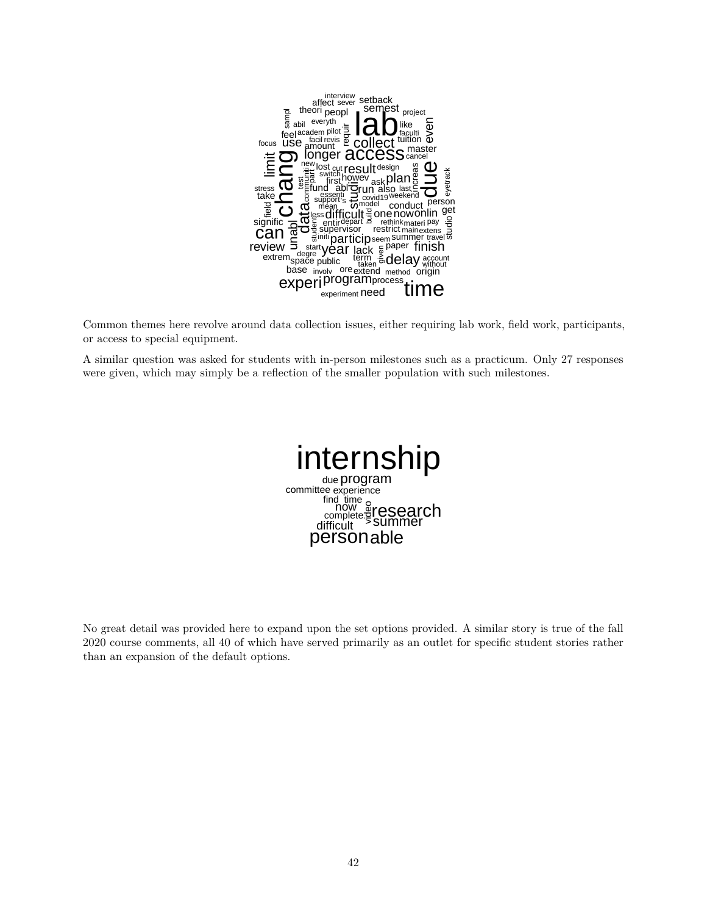![](_page_41_Picture_0.jpeg)

Common themes here revolve around data collection issues, either requiring lab work, field work, participants, or access to special equipment.

A similar question was asked for students with in-person milestones such as a practicum. Only 27 responses were given, which may simply be a reflection of the smaller population with such milestones.

![](_page_41_Picture_3.jpeg)

No great detail was provided here to expand upon the set options provided. A similar story is true of the fall 2020 course comments, all 40 of which have served primarily as an outlet for specific student stories rather than an expansion of the default options.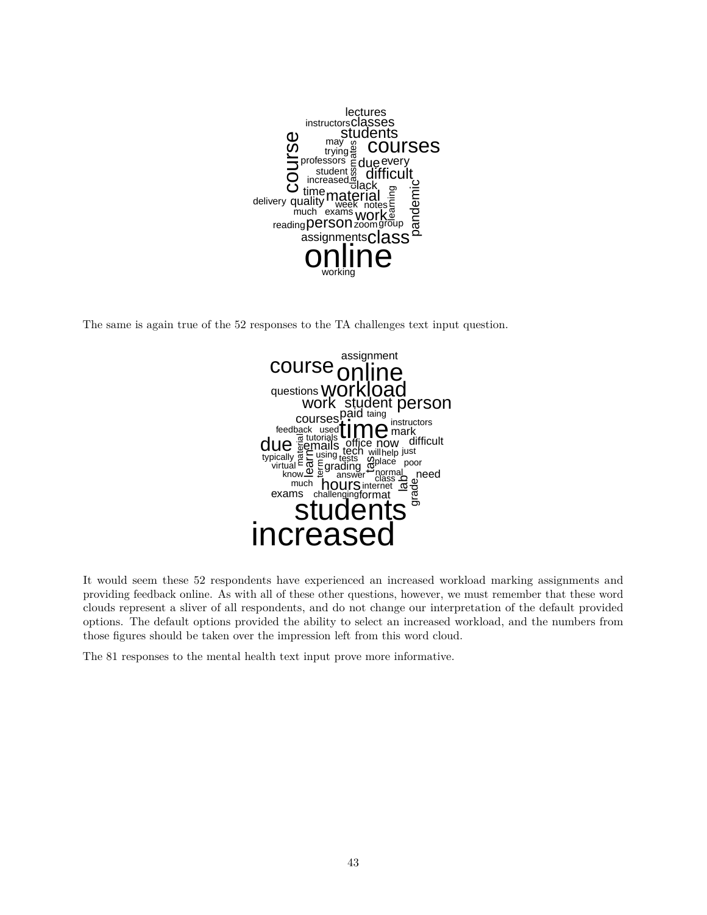![](_page_42_Picture_0.jpeg)

The same is again true of the 52 responses to the TA challenges text input question.

![](_page_42_Figure_2.jpeg)

It would seem these 52 respondents have experienced an increased workload marking assignments and providing feedback online. As with all of these other questions, however, we must remember that these word clouds represent a sliver of all respondents, and do not change our interpretation of the default provided options. The default options provided the ability to select an increased workload, and the numbers from those figures should be taken over the impression left from this word cloud.

The 81 responses to the mental health text input prove more informative.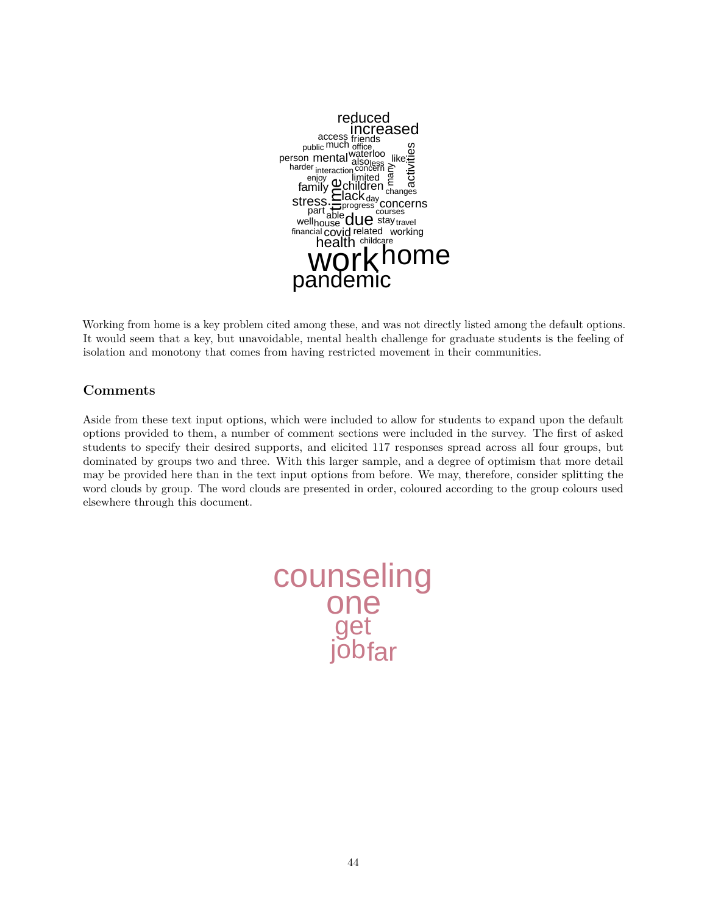![](_page_43_Picture_0.jpeg)

Working from home is a key problem cited among these, and was not directly listed among the default options. It would seem that a key, but unavoidable, mental health challenge for graduate students is the feeling of isolation and monotony that comes from having restricted movement in their communities.

# **Comments**

Aside from these text input options, which were included to allow for students to expand upon the default options provided to them, a number of comment sections were included in the survey. The first of asked students to specify their desired supports, and elicited 117 responses spread across all four groups, but dominated by groups two and three. With this larger sample, and a degree of optimism that more detail may be provided here than in the text input options from before. We may, therefore, consider splitting the word clouds by group. The word clouds are presented in order, coloured according to the group colours used elsewhere through this document.

![](_page_43_Picture_4.jpeg)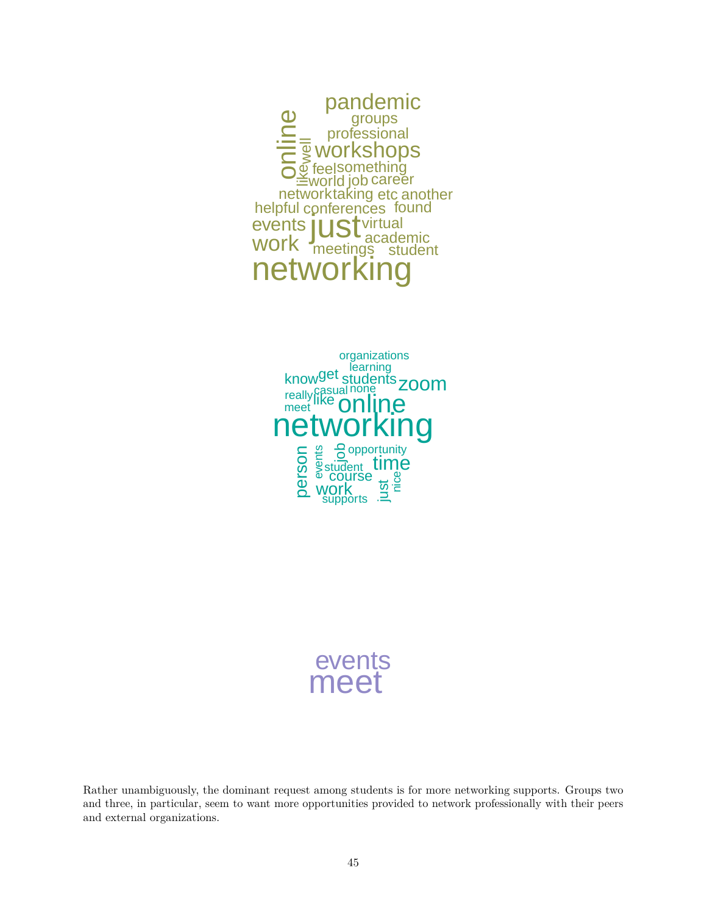![](_page_44_Picture_0.jpeg)

![](_page_44_Picture_1.jpeg)

events meet

Rather unambiguously, the dominant request among students is for more networking supports. Groups two and three, in particular, seem to want more opportunities provided to network professionally with their peers and external organizations.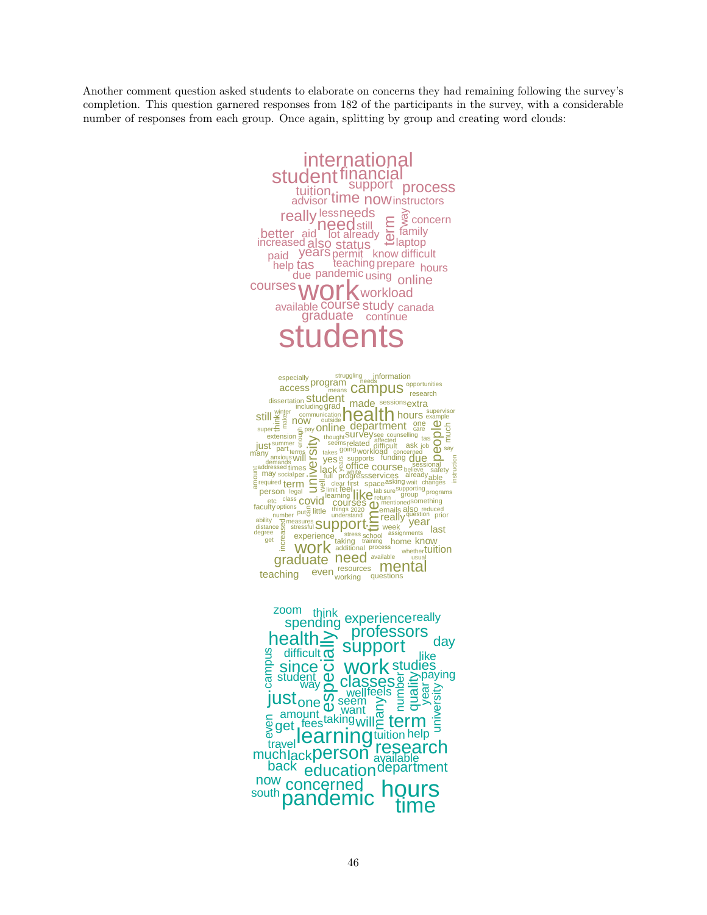Another comment question asked students to elaborate on concerns they had remaining following the survey's completion. This question garnered responses from 182 of the participants in the survey, with a considerable number of responses from each group. Once again, splitting by group and creating word clouds:

![](_page_45_Picture_1.jpeg)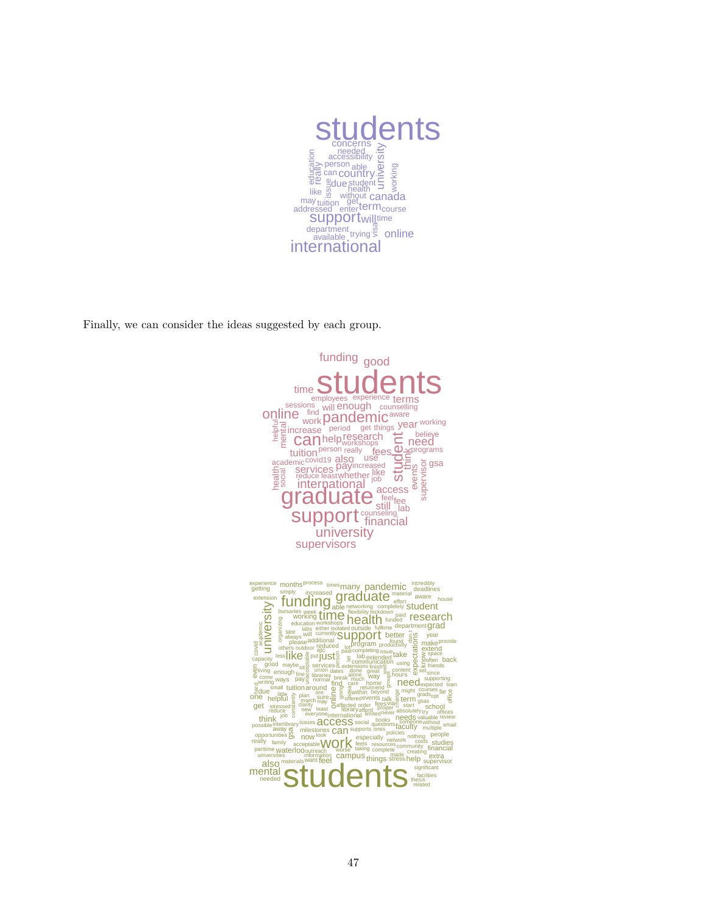![](_page_46_Picture_0.jpeg)

Finally, we can consider the ideas suggested by each group.

![](_page_46_Picture_2.jpeg)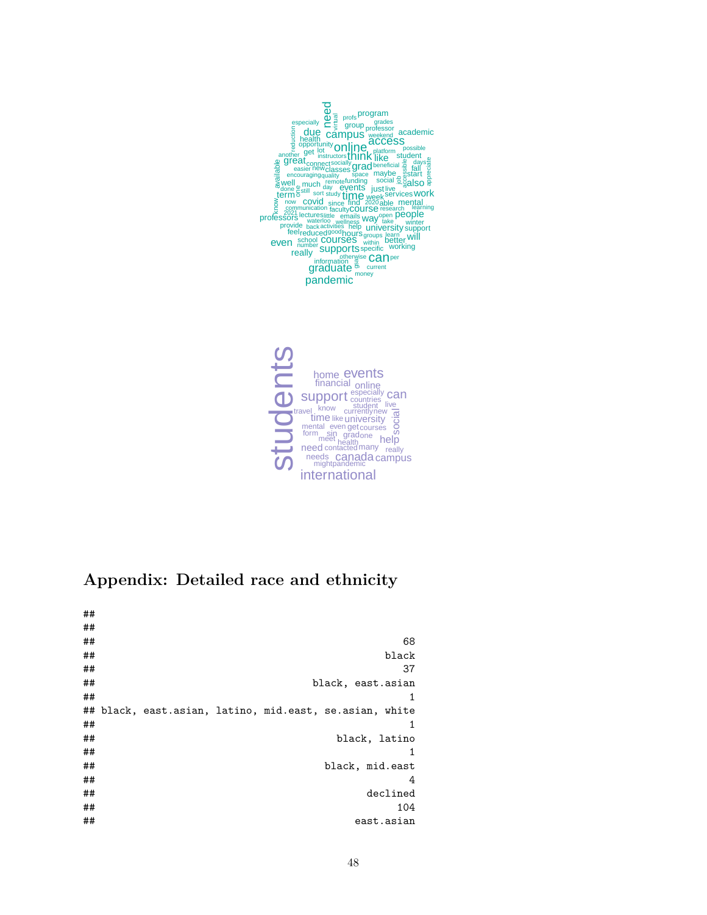![](_page_47_Picture_0.jpeg)

![](_page_47_Picture_1.jpeg)

# **Appendix: Detailed race and ethnicity**

##

| ##<br>##<br>##<br>##<br>##<br>##<br>##<br>## |  | ## black, east.asian, latino, mid.east, se.asian, white | 68<br>black<br>37<br>black, east.asian<br>1<br>1<br>black, latino |
|----------------------------------------------|--|---------------------------------------------------------|-------------------------------------------------------------------|
| ##                                           |  |                                                         | 1                                                                 |
| ##<br>##                                     |  |                                                         | black, mid.east<br>4                                              |
| ##<br>##                                     |  |                                                         | declined<br>104                                                   |
| ##                                           |  |                                                         | east.asian                                                        |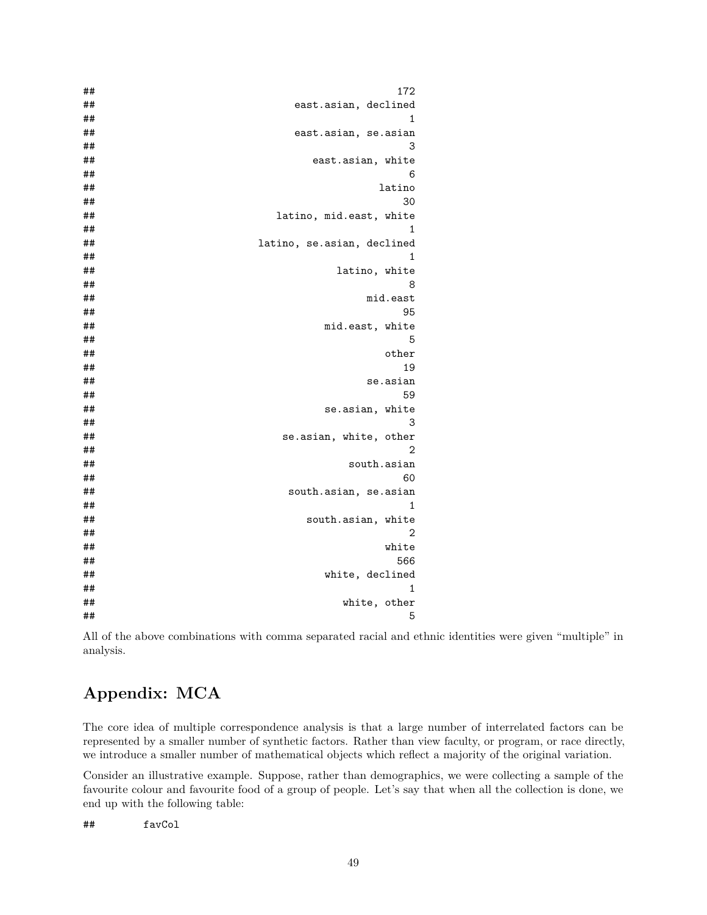| ## | 172                        |
|----|----------------------------|
| ## | east.asian, declined       |
| ## | 1                          |
| ## | east.asian, se.asian       |
| ## | 3                          |
| ## | east.asian, white          |
| ## | 6                          |
| ## | latino                     |
| ## | 30                         |
| ## | latino, mid.east, white    |
| ## | 1                          |
| ## | latino, se.asian, declined |
| ## | 1                          |
| ## | latino, white              |
| ## | 8                          |
| ## | mid.east                   |
| ## | 95                         |
| ## | mid.east, white            |
| ## | 5                          |
| ## | other                      |
| ## | 19                         |
| ## | se.asian                   |
| ## | 59                         |
| ## | se.asian,<br>white         |
| ## | 3                          |
| ## | se.asian, white, other     |
| ## | 2                          |
| ## | south.asian                |
| ## | 60                         |
| ## | south.asian, se.asian      |
| ## | 1                          |
| ## | south.asian, white         |
| ## | $\overline{2}$             |
| ## | white                      |
| ## | 566                        |
| ## | white, declined            |
| ## | 1                          |
| ## | white, other               |
| ## | 5                          |

All of the above combinations with comma separated racial and ethnic identities were given "multiple" in analysis.

# **Appendix: MCA**

The core idea of multiple correspondence analysis is that a large number of interrelated factors can be represented by a smaller number of synthetic factors. Rather than view faculty, or program, or race directly, we introduce a smaller number of mathematical objects which reflect a majority of the original variation.

Consider an illustrative example. Suppose, rather than demographics, we were collecting a sample of the favourite colour and favourite food of a group of people. Let's say that when all the collection is done, we end up with the following table:

## favCol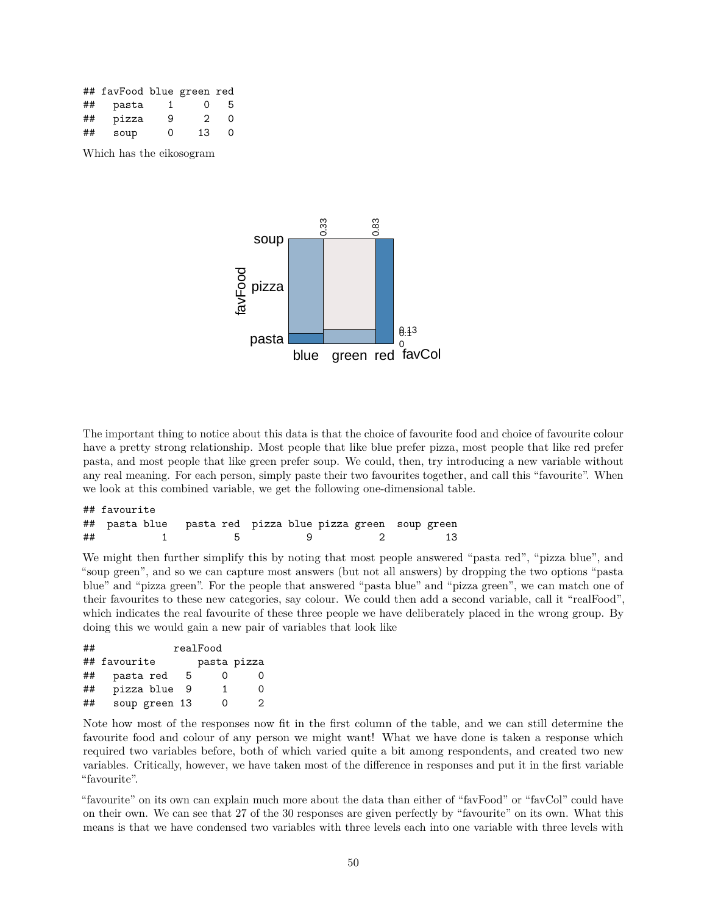|    | ## favFood blue green red |    |          |   |
|----|---------------------------|----|----------|---|
| ## | pasta                     | 1. | $\Omega$ | 5 |
| ## | pizza                     | 9  | 2        | 0 |
| ## | soup                      | Ω  | 13       | 0 |

Which has the eikosogram

![](_page_49_Figure_2.jpeg)

The important thing to notice about this data is that the choice of favourite food and choice of favourite colour have a pretty strong relationship. Most people that like blue prefer pizza, most people that like red prefer pasta, and most people that like green prefer soup. We could, then, try introducing a new variable without any real meaning. For each person, simply paste their two favourites together, and call this "favourite". When we look at this combined variable, we get the following one-dimensional table.

|    | ## favourite |     |                                                                                                                |    |
|----|--------------|-----|----------------------------------------------------------------------------------------------------------------|----|
|    |              |     |                                                                                                                |    |
| ## |              | 1 b | e di secolo di secolo di secolo di secolo di secolo di secolo di secolo di secolo di secolo di secolo di secol | 13 |

We might then further simplify this by noting that most people answered "pasta red", "pizza blue", and "soup green", and so we can capture most answers (but not all answers) by dropping the two options "pasta blue" and "pizza green". For the people that answered "pasta blue" and "pizza green", we can match one of their favourites to these new categories, say colour. We could then add a second variable, call it "realFood", which indicates the real favourite of these three people we have deliberately placed in the wrong group. By doing this we would gain a new pair of variables that look like

| ## |               |     | realFood    |   |
|----|---------------|-----|-------------|---|
|    | ## favourite  |     | pasta pizza |   |
| ## | pasta red     | 5   | Ω           | 0 |
| ## | pizza blue    | - 9 | 1           | ∩ |
| ## | soup green 13 |     | Ω           | 2 |

Note how most of the responses now fit in the first column of the table, and we can still determine the favourite food and colour of any person we might want! What we have done is taken a response which required two variables before, both of which varied quite a bit among respondents, and created two new variables. Critically, however, we have taken most of the difference in responses and put it in the first variable "favourite".

"favourite" on its own can explain much more about the data than either of "favFood" or "favCol" could have on their own. We can see that 27 of the 30 responses are given perfectly by "favourite" on its own. What this means is that we have condensed two variables with three levels each into one variable with three levels with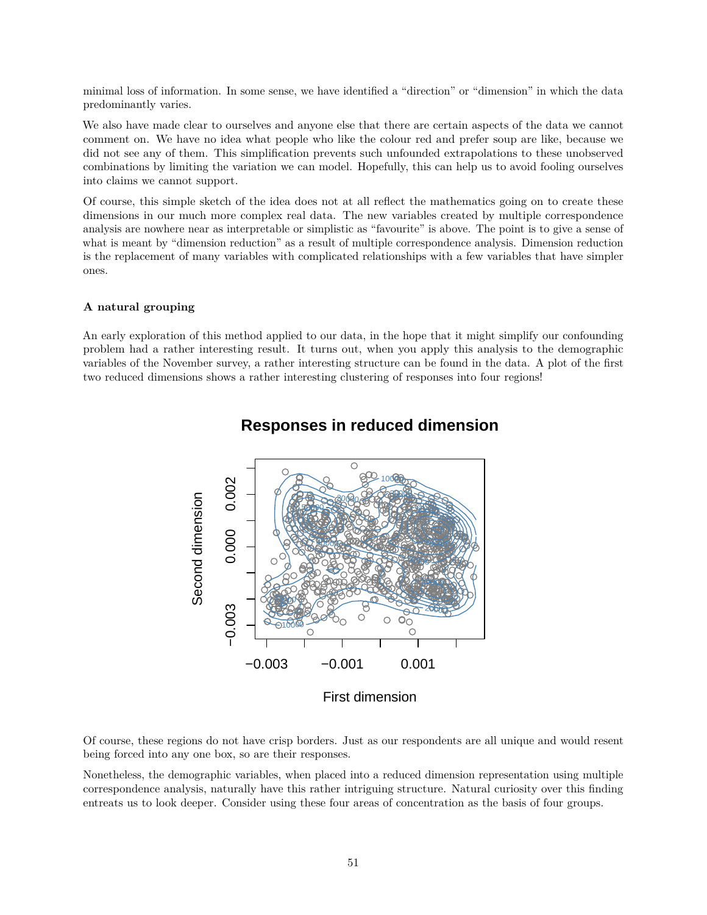minimal loss of information. In some sense, we have identified a "direction" or "dimension" in which the data predominantly varies.

We also have made clear to ourselves and anyone else that there are certain aspects of the data we cannot comment on. We have no idea what people who like the colour red and prefer soup are like, because we did not see any of them. This simplification prevents such unfounded extrapolations to these unobserved combinations by limiting the variation we can model. Hopefully, this can help us to avoid fooling ourselves into claims we cannot support.

Of course, this simple sketch of the idea does not at all reflect the mathematics going on to create these dimensions in our much more complex real data. The new variables created by multiple correspondence analysis are nowhere near as interpretable or simplistic as "favourite" is above. The point is to give a sense of what is meant by "dimension reduction" as a result of multiple correspondence analysis. Dimension reduction is the replacement of many variables with complicated relationships with a few variables that have simpler ones.

#### **A natural grouping**

An early exploration of this method applied to our data, in the hope that it might simplify our confounding problem had a rather interesting result. It turns out, when you apply this analysis to the demographic variables of the November survey, a rather interesting structure can be found in the data. A plot of the first two reduced dimensions shows a rather interesting clustering of responses into four regions!

![](_page_50_Figure_5.jpeg)

# **Responses in reduced dimension**

Of course, these regions do not have crisp borders. Just as our respondents are all unique and would resent being forced into any one box, so are their responses.

Nonetheless, the demographic variables, when placed into a reduced dimension representation using multiple correspondence analysis, naturally have this rather intriguing structure. Natural curiosity over this finding entreats us to look deeper. Consider using these four areas of concentration as the basis of four groups.